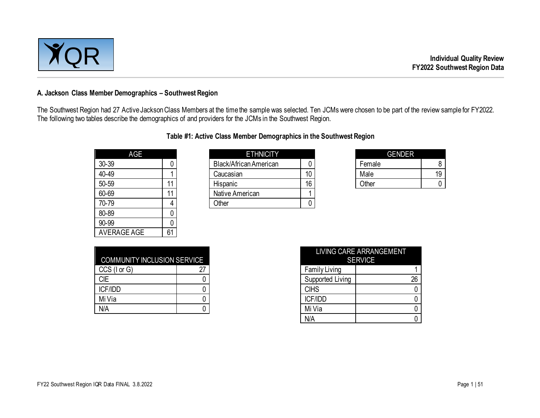

#### **A. Jackson Class Member Demographics – Southwest Region**

The Southwest Region had 27 Active Jackson Class Members at the time the sample was selected. Ten JCMs were chosen to be part of the review sample for FY2022. The following two tables describe the demographics of and providers for the JCMs in the Southwest Region.

| Table #1: Active Class Member Demographics in the Southwest Region |  |
|--------------------------------------------------------------------|--|
|--------------------------------------------------------------------|--|

| AGE                |    |
|--------------------|----|
| 30-39              | 0  |
| 40-49              |    |
| 50-59              | 11 |
| 60-69              | 11 |
| 70-79              | 4  |
| 80-89              | 0  |
| 90-99              | Ω  |
| <b>AVERAGE AGE</b> | 61 |

| AGE   |                 | <b>ETHNICITY</b>              |    | <b>GENDER</b> |    |
|-------|-----------------|-------------------------------|----|---------------|----|
| 30-39 |                 | <b>Black/African American</b> |    | Female        |    |
| 40-49 |                 | Caucasian                     | 10 | Male          | 19 |
| 50-59 |                 | Hispanic                      | 16 | Other         |    |
| 60-69 | $\overline{11}$ | Native American               |    |               |    |
| 70-79 |                 | Other                         |    |               |    |
|       |                 |                               |    |               |    |

| GENDER |    |
|--------|----|
| Female | 8  |
| Male   | 19 |
| Other  |    |

| <b>COMMUNITY INCLUSION SERVICE</b> |    |
|------------------------------------|----|
| $CCS$ ( $I$ or $G$ )               | 27 |
| CIE                                |    |
| <b>ICF/IDD</b>                     |    |
| Mi Via                             |    |
|                                    |    |

| <b>COMMUNITY INCLUSION SERVICE</b> |    |                      | LIVING CARE ARRANGEMENT<br><b>SERVICE</b> |
|------------------------------------|----|----------------------|-------------------------------------------|
| CCS (I or G)                       | 27 | <b>Family Living</b> |                                           |
| <b>CIE</b>                         |    | Supported Living     | 26                                        |
| ICF/IDD                            |    | <b>CIHS</b>          |                                           |
| Mi Via                             |    | ICF/IDD              |                                           |
| N/A                                |    | Mi Via               |                                           |
|                                    |    | N/A                  |                                           |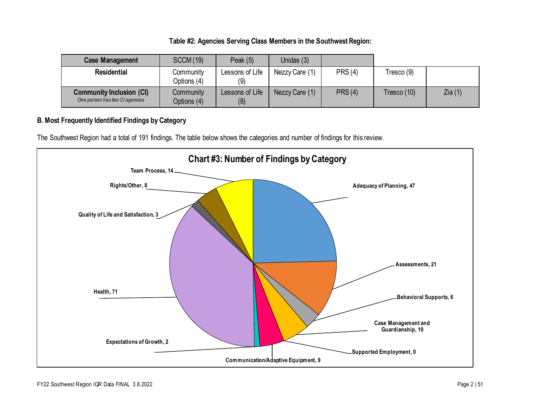#### **Table #2: Agencies Serving Class Members in the Southwest Region:**

| <b>Case Management</b>                                            | <b>SCCM (19)</b>                | Peak $(5)$             | Unidas (3)     |                |             |        |
|-------------------------------------------------------------------|---------------------------------|------------------------|----------------|----------------|-------------|--------|
| <b>Residential</b>                                                | Community<br>Options (4)        | Lessons of Life<br>(9) | Nezzy Care (1) | <b>PRS (4)</b> | Tresco (9)  |        |
| <b>Community Inclusion (CI)</b><br>One person has two CI agencies | <b>Community</b><br>Options (4) | Lessons of Life<br>(8) | Nezzy Care (1) | <b>PRS (4)</b> | Tresco (10) | Zia(1) |

### **B. Most Frequently Identified Findings by Category**

The Southwest Region had a total of 191 findings. The table below shows the categories and number of findings for this review.

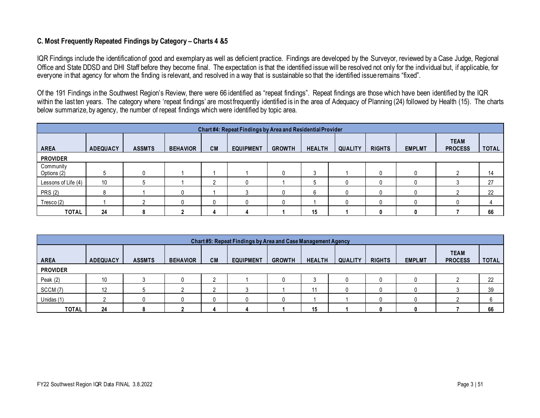#### **C. Most Frequently Repeated Findings by Category – Charts 4 &5**

IQR Findings include the identification of good and exemplary as well as deficient practice. Findings are developed by the Surveyor, reviewed by a Case Judge, Regional Office and State DDSD and DHI Staff before they become final. The expectation is that the identified issue will be resolved not only for the individual but, if applicable, for everyone in that agency for whom the finding is relevant, and resolved in a way that is sustainable so that the identified issue remains "fixed".

Of the 191 Findings in the Southwest Region's Review, there were 66 identified as "repeat findings". Repeat findings are those which have been identified by the IQR within the last ten years. The category where 'repeat findings' are most frequently identified is in the area of Adequacy of Planning (24) followed by Health (15). The charts below summarize, by agency, the number of repeat findings which were identified by topic area.

| Chart #4: Repeat Findings by Area and Residential Provider |                 |               |                 |    |                  |               |               |                |               |               |                               |              |
|------------------------------------------------------------|-----------------|---------------|-----------------|----|------------------|---------------|---------------|----------------|---------------|---------------|-------------------------------|--------------|
| <b>AREA</b>                                                | <b>ADEQUACY</b> | <b>ASSMTS</b> | <b>BEHAVIOR</b> | CM | <b>EQUIPMENT</b> | <b>GROWTH</b> | <b>HEALTH</b> | <b>QUALITY</b> | <b>RIGHTS</b> | <b>EMPLMT</b> | <b>TEAM</b><br><b>PROCESS</b> | <b>TOTAL</b> |
| <b>PROVIDER</b>                                            |                 |               |                 |    |                  |               |               |                |               |               |                               |              |
| Community<br>Options (2)                                   |                 |               |                 |    |                  |               | a             |                |               |               |                               | 14           |
| Lessons of Life (4)                                        | 10              |               |                 | c  |                  |               | đ             |                |               |               |                               | 27           |
| <b>PRS (2)</b>                                             |                 |               |                 |    |                  |               | 6             |                |               |               |                               | 22           |
| Tresco(2)                                                  |                 |               |                 | 0  |                  |               |               |                |               |               |                               |              |
| <b>TOTAL</b>                                               | 24              |               |                 |    |                  |               | 15            |                |               |               |                               | 66           |

| Chart #5: Repeat Findings by Area and Case Management Agency |                 |               |                 |           |                  |               |               |                |               |               |                               |              |
|--------------------------------------------------------------|-----------------|---------------|-----------------|-----------|------------------|---------------|---------------|----------------|---------------|---------------|-------------------------------|--------------|
| <b>AREA</b>                                                  | <b>ADEQUACY</b> | <b>ASSMTS</b> | <b>BEHAVIOR</b> | <b>CM</b> | <b>EQUIPMENT</b> | <b>GROWTH</b> | <b>HEALTH</b> | <b>QUALITY</b> | <b>RIGHTS</b> | <b>EMPLMT</b> | <b>TEAM</b><br><b>PROCESS</b> | <b>TOTAL</b> |
| <b>PROVIDER</b>                                              |                 |               |                 |           |                  |               |               |                |               |               |                               |              |
| Peak $(2)$                                                   | 10              |               |                 |           |                  |               |               |                |               |               |                               | 22           |
| SCCM(7)                                                      | 12              |               |                 |           |                  |               |               |                |               |               |                               | 39           |
| Unidas (1)                                                   |                 |               |                 |           |                  |               |               |                |               |               |                               |              |
| <b>TOTAL</b>                                                 | 24              |               |                 |           |                  |               | 15            |                |               |               |                               | 66           |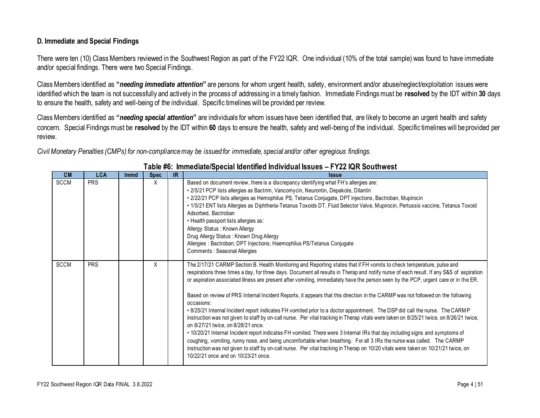#### **D. Immediate and Special Findings**

There were ten (10) Class Members reviewed in the Southwest Region as part of the FY22 IQR. One individual (10% of the total sample) was found to have immediate and/or special findings. There were two Special Findings.

Class Members identified as **"***needing immediate attention***"** are persons for whom urgent health, safety, environment and/or abuse/neglect/exploitation issues were identified which the team is not successfully and actively in the process of addressing in a timely fashion. Immediate Findings must be **resolved** by the IDT within **30** days to ensure the health, safety and well-being of the individual. Specific timelines will be provided per review.

Class Members identified as **"***needing special attention***"** are individuals for whom issues have been identified that, are likely to become an urgent health and safety concern. Special Findings must be **resolved** by the IDT within **60** days to ensure the health, safety and well-being of the individual. Specific timelines will be provided per review.

*Civil Monetary Penalties (CMPs) for non-compliance may be issued for immediate, special and/or other egregious findings.*

| CM          | <b>LCA</b> | <b>Immd</b> | <b>Spec</b> | IR | <b>Issue</b>                                                                                                                                                                                                                                                                                                                                                                                                                                                                                                                                                                                                                                                                                                                                                                                                                                                                                                                                                                                                                                                                                                                                                                                                                                                                                                     |
|-------------|------------|-------------|-------------|----|------------------------------------------------------------------------------------------------------------------------------------------------------------------------------------------------------------------------------------------------------------------------------------------------------------------------------------------------------------------------------------------------------------------------------------------------------------------------------------------------------------------------------------------------------------------------------------------------------------------------------------------------------------------------------------------------------------------------------------------------------------------------------------------------------------------------------------------------------------------------------------------------------------------------------------------------------------------------------------------------------------------------------------------------------------------------------------------------------------------------------------------------------------------------------------------------------------------------------------------------------------------------------------------------------------------|
| <b>SCCM</b> | <b>PRS</b> |             | X           |    | Based on document review, there is a discrepancy identifying what FH's allergies are:<br>· 2/5/21 PCP lists allergies as Bactrim, Vancomycin, Neurontin, Depakote, Dilantin<br>· 2/22/21 PCP lists allergies as Hemophilus PS, Tetanus Conjugate, DPT injections, Bactroban, Mupirocin<br>· 1/5/21 ENT lists Allergies as Diphtheria-Tetanus Toxoids DT, Fluid Selector Valve, Mupirocin, Pertussis vaccine, Tetanus Toxoid<br>Adsorbed, Bactroban<br>• Health passport lists allergies as:<br>Allergy Status: Known Allergy<br>Drug Allergy Status: Known Drug Allergy<br>Allergies: Bactroban; DPT Injections; Haemophilus PS/Tetanus Conjugate<br>Comments : Seasonal Allergies                                                                                                                                                                                                                                                                                                                                                                                                                                                                                                                                                                                                                               |
| <b>SCCM</b> | <b>PRS</b> |             | X           |    | The 2/17/21 CARMP Section B. Health Monitoring and Reporting states that if FH vomits to check temperature, pulse and<br>respirations three times a day, for three days. Document all results in Therap and notify nurse of each result. If any S&S of aspiration<br>or aspiration associated illness are present after vomiting, immediately have the person seen by the PCP, urgent care or in the ER.<br>Based on review of PRS Internal Incident Reports, it appears that this direction in the CARMP was not followed on the following<br>occasions:<br>. 8/25/21 Internal Incident report indicates FH vomited prior to a doctor appointment. The DSP did call the nurse. The CARMP<br>instruction was not given to staff by on-call nurse. Per vital tracking in Therap vitals were taken on 8/25/21 twice, on 8/26/21 twice,<br>on 8/27/21 twice, on 8/28/21 once.<br>. 10/20/21 Internal Incident report indicates FH vomited. There were 3 Internal IRs that day including signs and symptoms of<br>coughing, vomiting, runny nose, and being uncomfortable when breathing. For all 3 IRs the nurse was called. The CARMP<br>instruction was not given to staff by on-call nurse. Per vital tracking in Therap on 10/20 vitals were taken on 10/21/21 twice, on<br>10/22/21 once and on 10/23/21 once. |

### **Table #6: Immediate/Special Identified Individual Issues – FY22 IQR Southwest**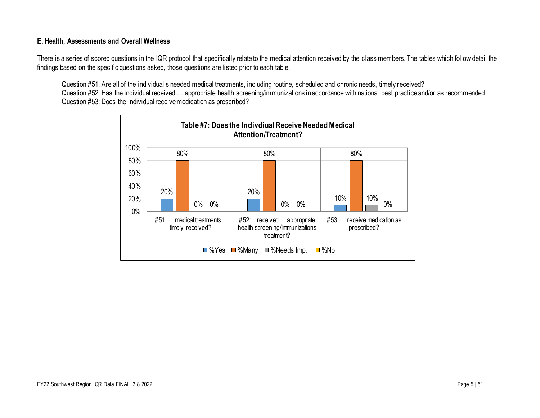#### **E. Health, Assessments and Overall Wellness**

There is a series of scored questions in the IQR protocol that specifically relate to the medical attention received by the class members. The tables which follow detail the findings based on the specific questions asked, those questions are listed prior to each table.

Question #51. Are all of the individual's needed medical treatments, including routine, scheduled and chronic needs, timely received? Question #52. Has the individual received … appropriate health screening/immunizations in accordance with national best practice and/or as recommended Question #53: Does the individual receive medication as prescribed?

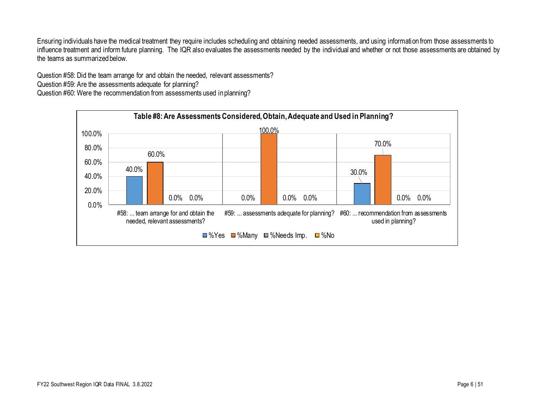Ensuring individuals have the medical treatment they require includes scheduling and obtaining needed assessments, and using information from those assessments to influence treatment and inform future planning. The IQR also evaluates the assessments needed by the individual and whether or not those assessments are obtained by the teams as summarized below.

Question #58: Did the team arrange for and obtain the needed, relevant assessments?

Question #59: Are the assessments adequate for planning?

Question #60: Were the recommendation from assessments used in planning?

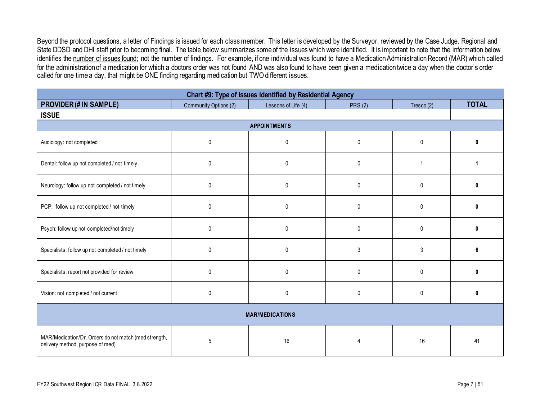Beyond the protocol questions, a letter of Findings is issued for each class member. This letter is developed by the Surveyor, reviewed by the Case Judge, Regional and State DDSD and DHI staff prior to becoming final. The table below summarizes some of the issues which were identified. It is important to note that the information below identifies the number of issues found; not the number of findings. For example, if one individual was found to have a Medication Administration Record (MAR) which called for the administration of a medication for which a doctors order was not found AND was also found to have been given a medication twice a day when the doctor's order called for one time a day, that might be ONE finding regarding medication but TWO different issues.

| Chart #9: Type of Issues identified by Residential Agency                                 |                       |                     |                |                |              |  |  |  |  |  |  |
|-------------------------------------------------------------------------------------------|-----------------------|---------------------|----------------|----------------|--------------|--|--|--|--|--|--|
| <b>PROVIDER (# IN SAMPLE)</b>                                                             | Community Options (2) | Lessons of Life (4) | <b>PRS (2)</b> | Tresco $(2)$   | <b>TOTAL</b> |  |  |  |  |  |  |
| <b>ISSUE</b>                                                                              |                       |                     |                |                |              |  |  |  |  |  |  |
| <b>APPOINTMENTS</b>                                                                       |                       |                     |                |                |              |  |  |  |  |  |  |
| Audiology: not completed                                                                  | $\mathbf{0}$          | 0                   | $\mathbf{0}$   | $\mathbf{0}$   | U            |  |  |  |  |  |  |
| Dental: follow up not completed / not timely                                              | $\mathbf 0$           | 0                   | $\mathbf{0}$   | $\overline{1}$ |              |  |  |  |  |  |  |
| Neurology: follow up not completed / not timely                                           | $\mathbf{0}$          | 0                   | $\Omega$       | $\Omega$       | U            |  |  |  |  |  |  |
| PCP: follow up not completed / not timely                                                 | $\mathbf{0}$          | $\mathbf{0}$        | $\mathbf{0}$   | $\mathbf{0}$   | n            |  |  |  |  |  |  |
| Psych: follow up not completed/not timely                                                 | $\mathbf 0$           | $\mathbf 0$         | $\mathbf{0}$   | $\mathbf{0}$   | ŋ            |  |  |  |  |  |  |
| Specialists: follow up not completed / not timely                                         | $\mathbf 0$           | 0                   | 3              | 3              | 6            |  |  |  |  |  |  |
| Specialists: report not provided for review                                               | $\mathbf 0$           | 0                   | $\mathbf{0}$   | $\mathbf{0}$   | 0            |  |  |  |  |  |  |
| Vision: not completed / not current                                                       | 0                     | $\pmb{0}$           | $\mathbf{0}$   | $\pmb{0}$      | 0            |  |  |  |  |  |  |
| <b>MAR/MEDICATIONS</b>                                                                    |                       |                     |                |                |              |  |  |  |  |  |  |
| MAR/Medication/Dr. Orders do not match (med strength,<br>delivery method, purpose of med) | 5                     | 16                  | 4              | 16             | 41           |  |  |  |  |  |  |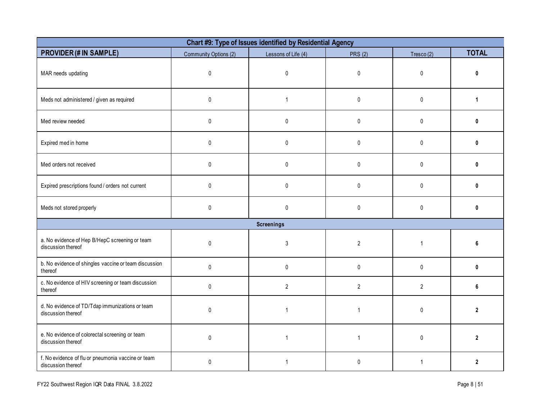| Chart #9: Type of Issues identified by Residential Agency                |                       |                     |                |                |              |  |  |  |  |  |  |
|--------------------------------------------------------------------------|-----------------------|---------------------|----------------|----------------|--------------|--|--|--|--|--|--|
| <b>PROVIDER (# IN SAMPLE)</b>                                            | Community Options (2) | Lessons of Life (4) | <b>PRS (2)</b> | Tresco $(2)$   | <b>TOTAL</b> |  |  |  |  |  |  |
| MAR needs updating                                                       | $\pmb{0}$             | $\mathbf 0$         | $\mathbf 0$    | 0              | U            |  |  |  |  |  |  |
| Meds not administered / given as required                                | $\pmb{0}$             | $\mathbf{1}$        | $\pmb{0}$      | 0              | 1            |  |  |  |  |  |  |
| Med review needed                                                        | $\pmb{0}$             | $\mathbf 0$         | $\pmb{0}$      | 0              | $\mathbf{0}$ |  |  |  |  |  |  |
| Expired med in home                                                      | $\mathbf 0$           | $\mathbf 0$         | $\mathbf 0$    | 0              | 0            |  |  |  |  |  |  |
| Med orders not received                                                  | $\pmb{0}$             | $\mathbf 0$         | $\mathbf 0$    | 0              | 0            |  |  |  |  |  |  |
| Expired prescriptions found / orders not current                         | $\mathbf{0}$          | $\mathbf{0}$        | $\mathbf{0}$   | $\mathbf{0}$   | $\bf{0}$     |  |  |  |  |  |  |
| Meds not stored properly                                                 | $\pmb{0}$             | 0                   | $\pmb{0}$      | 0              | 0            |  |  |  |  |  |  |
|                                                                          |                       | <b>Screenings</b>   |                |                |              |  |  |  |  |  |  |
| a. No evidence of Hep B/HepC screening or team<br>discussion thereof     | $\mathbf 0$           | 3                   | $\overline{2}$ | $\mathbf{1}$   | หิ           |  |  |  |  |  |  |
| b. No evidence of shingles vaccine or team discussion<br>thereof         | $\pmb{0}$             | 0                   | $\mathbf 0$    | 0              | 0            |  |  |  |  |  |  |
| c. No evidence of HIV screening or team discussion<br>thereof            | $\pmb{0}$             | $\overline{2}$      | $\overline{2}$ | $\overline{2}$ | 6            |  |  |  |  |  |  |
| d. No evidence of TD/Tdap immunizations or team<br>discussion thereof    | $\pmb{0}$             | $\overline{1}$      | $\overline{1}$ | 0              | $\mathbf{2}$ |  |  |  |  |  |  |
| e. No evidence of colorectal screening or team<br>discussion thereof     | $\mathbf 0$           | $\mathbf{1}$        | $\mathbf{1}$   | 0              | $\mathbf{2}$ |  |  |  |  |  |  |
| f. No evidence of flu or pneumonia vaccine or team<br>discussion thereof | $\pmb{0}$             | $\mathbf{1}$        | $\mathbf 0$    | $\mathbf{1}$   | $\mathbf{2}$ |  |  |  |  |  |  |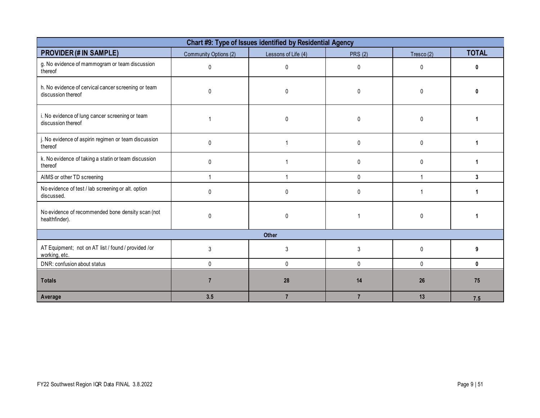| Chart #9: Type of Issues identified by Residential Agency                 |                       |                     |                |              |              |  |  |  |  |  |
|---------------------------------------------------------------------------|-----------------------|---------------------|----------------|--------------|--------------|--|--|--|--|--|
| <b>PROVIDER (# IN SAMPLE)</b>                                             | Community Options (2) | Lessons of Life (4) | <b>PRS (2)</b> | Tresco $(2)$ | <b>TOTAL</b> |  |  |  |  |  |
| g. No evidence of mammogram or team discussion<br>thereof                 | $\Omega$              | 0                   | 0              | $\Omega$     | ŋ            |  |  |  |  |  |
| h. No evidence of cervical cancer screening or team<br>discussion thereof | $\mathbf{0}$          | 0                   | 0              | 0            |              |  |  |  |  |  |
| i. No evidence of lung cancer screening or team<br>discussion thereof     |                       | 0                   | 0              | 0            |              |  |  |  |  |  |
| j. No evidence of aspirin regimen or team discussion<br>thereof           | 0                     |                     | 0              | 0            | 1            |  |  |  |  |  |
| k. No evidence of taking a statin or team discussion<br>thereof           | $\mathbf{0}$          |                     | 0              | 0            |              |  |  |  |  |  |
| AIMS or other TD screening                                                |                       |                     | 0              | 1            | 3            |  |  |  |  |  |
| No evidence of test / lab screening or alt. option<br>discussed.          | 0                     | 0                   | 0              |              |              |  |  |  |  |  |
| No evidence of recommended bone density scan (not<br>healthfinder).       | $\Omega$              | 0                   |                | 0            |              |  |  |  |  |  |
|                                                                           |                       | Other               |                |              |              |  |  |  |  |  |
| AT Equipment; not on AT list / found / provided /or<br>working, etc.      | 3                     | 3                   | $\mathsf{3}$   | 0            | 9            |  |  |  |  |  |
| DNR: confusion about status                                               | $\mathbf{0}$          | 0                   | $\mathbf{0}$   | 0            | 0            |  |  |  |  |  |
| <b>Totals</b>                                                             |                       | 28                  | 14             | 26           | 75           |  |  |  |  |  |
| Average                                                                   | 3.5                   | $\overline{7}$      | $\overline{7}$ | 13           | 7.5          |  |  |  |  |  |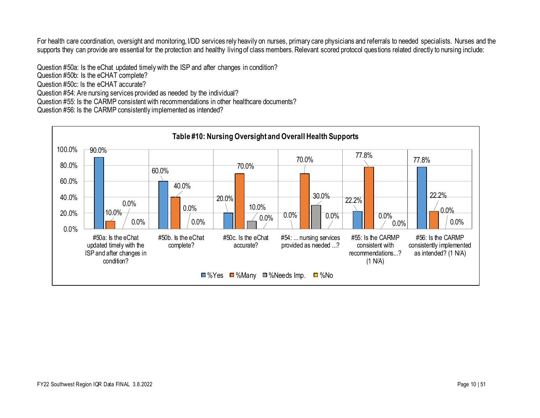For health care coordination, oversight and monitoring, I/DD services rely heavily on nurses, primary care physicians and referrals to needed specialists. Nurses and the supports they can provide are essential for the protection and healthy living of class members. Relevant scored protocol questions related directly to nursing include:

Question #50a: Is the eChat updated timely with the ISP and after changes in condition? Question #50b: Is the eCHAT complete? Question #50c: Is the eCHAT accurate? Question #54: Are nursing services provided as needed by the individual? Question #55: Is the CARMP consistent with recommendations in other healthcare documents? Question #56: Is the CARMP consistently implemented as intended?

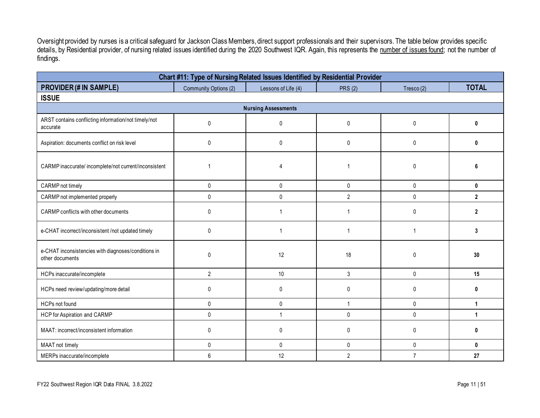Oversight provided by nurses is a critical safeguard for Jackson Class Members, direct support professionals and their supervisors. The table below provides specific details, by Residential provider, of nursing related issues identified during the 2020 Southwest IQR. Again, this represents the number of issues found; not the number of findings.

| Chart #11: Type of Nursing Related Issues Identified by Residential Provider |                       |                     |                |                |                |  |  |  |  |  |  |
|------------------------------------------------------------------------------|-----------------------|---------------------|----------------|----------------|----------------|--|--|--|--|--|--|
| <b>PROVIDER (# IN SAMPLE)</b>                                                | Community Options (2) | Lessons of Life (4) | <b>PRS (2)</b> | Tresco(2)      | <b>TOTAL</b>   |  |  |  |  |  |  |
| <b>ISSUE</b>                                                                 |                       |                     |                |                |                |  |  |  |  |  |  |
| <b>Nursing Assessments</b>                                                   |                       |                     |                |                |                |  |  |  |  |  |  |
| ARST contains conflicting information/not timely/not<br>accurate             | $\mathbf{0}$          | 0                   | 0              | 0              | 0              |  |  |  |  |  |  |
| Aspiration: documents conflict on risk level                                 | $\mathbf{0}$          | $\mathbf{0}$        | $\mathbf 0$    | 0              | 0              |  |  |  |  |  |  |
| CARMP inaccurate/incomplete/not current/inconsistent                         |                       | Δ                   |                | 0              |                |  |  |  |  |  |  |
| CARMP not timely                                                             | $\mathbf{0}$          | $\mathbf{0}$        | $\mathbf 0$    | $\mathbf{0}$   | $\mathbf{0}$   |  |  |  |  |  |  |
| CARMP not implemented properly                                               | $\pmb{0}$             | $\pmb{0}$           | $\overline{2}$ | 0              | $\overline{2}$ |  |  |  |  |  |  |
| CARMP conflicts with other documents                                         | $\mathbf{0}$          | 1                   |                | $\mathbf{0}$   | $\mathbf{2}$   |  |  |  |  |  |  |
| e-CHAT incorrect/inconsistent /not updated timely                            | $\Omega$              |                     |                | 1              | 3              |  |  |  |  |  |  |
| e-CHAT inconsistencies with diagnoses/conditions in<br>other documents       | $\Omega$              | 12                  | 18             | $\mathbf{0}$   | 30             |  |  |  |  |  |  |
| HCPs inaccurate/incomplete                                                   | $\overline{2}$        | 10                  | 3              | 0              | 15             |  |  |  |  |  |  |
| HCPs need review/updating/more detail                                        | $\mathbf{0}$          | 0                   | $\mathbf{0}$   | $\mathbf{0}$   | 0              |  |  |  |  |  |  |
| HCPs not found                                                               | $\pmb{0}$             | $\mathbf{0}$        | 1              | 0              | 1              |  |  |  |  |  |  |
| <b>HCP</b> for Aspiration and CARMP                                          | $\mathbf{0}$          | $\overline{1}$      | 0              | $\mathbf{0}$   | 1              |  |  |  |  |  |  |
| MAAT: incorrect/inconsistent information                                     | $\mathbf 0$           | 0                   | 0              | 0              | $\bf{0}$       |  |  |  |  |  |  |
| MAAT not timely                                                              | $\mathbf 0$           | $\mathbf{0}$        | $\mathbf 0$    | 0              | 0              |  |  |  |  |  |  |
| MERPs inaccurate/incomplete                                                  | 6                     | 12                  | $\overline{2}$ | $\overline{7}$ | 27             |  |  |  |  |  |  |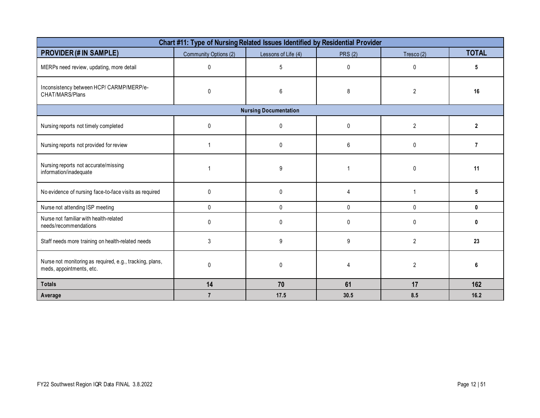| Chart #11: Type of Nursing Related Issues Identified by Residential Provider         |                       |                              |                |                |                |  |  |  |  |  |
|--------------------------------------------------------------------------------------|-----------------------|------------------------------|----------------|----------------|----------------|--|--|--|--|--|
| <b>PROVIDER (# IN SAMPLE)</b>                                                        | Community Options (2) | Lessons of Life (4)          | <b>PRS (2)</b> | Tresco(2)      | <b>TOTAL</b>   |  |  |  |  |  |
| MERPs need review, updating, more detail                                             | $\mathbf{0}$          | 5                            | $\mathbf{0}$   | $\Omega$       | 5              |  |  |  |  |  |
| Inconsistency between HCP/CARMP/MERP/e-<br>CHAT/MARS/Plans                           | $\mathbf{0}$          | 6                            | 8              | $\overline{2}$ | 16             |  |  |  |  |  |
|                                                                                      |                       | <b>Nursing Documentation</b> |                |                |                |  |  |  |  |  |
| Nursing reports not timely completed                                                 | $\Omega$              | 0                            | $\Omega$       | $\overline{2}$ | 2              |  |  |  |  |  |
| Nursing reports not provided for review                                              | 1                     | $\mathbf{0}$                 | 6              | $\mathbf{0}$   | $\overline{7}$ |  |  |  |  |  |
| Nursing reports not accurate/missing<br>information/inadequate                       | -1                    | 9                            |                | $\Omega$       | 11             |  |  |  |  |  |
| No evidence of nursing face-to-face visits as required                               | $\mathbf 0$           | 0                            | 4              |                | 5              |  |  |  |  |  |
| Nurse not attending ISP meeting                                                      | $\mathbf{0}$          | 0                            | 0              | $\mathbf 0$    | 0              |  |  |  |  |  |
| Nurse not familiar with health-related<br>needs/recommendations                      | $\Omega$              | $\mathbf{0}$                 | $\mathbf{0}$   | $\Omega$       | Λ              |  |  |  |  |  |
| Staff needs more training on health-related needs                                    | 3                     | 9                            | 9              | $\overline{2}$ | 23             |  |  |  |  |  |
| Nurse not monitoring as required, e.g., tracking, plans,<br>meds, appointments, etc. | $\Omega$              | 0                            | $\Lambda$      | $\overline{2}$ |                |  |  |  |  |  |
| <b>Totals</b>                                                                        | 14                    | 70                           | 61             | 17             | 162            |  |  |  |  |  |
| Average                                                                              | $\overline{7}$        | 17.5                         | 30.5           | 8.5            | 16.2           |  |  |  |  |  |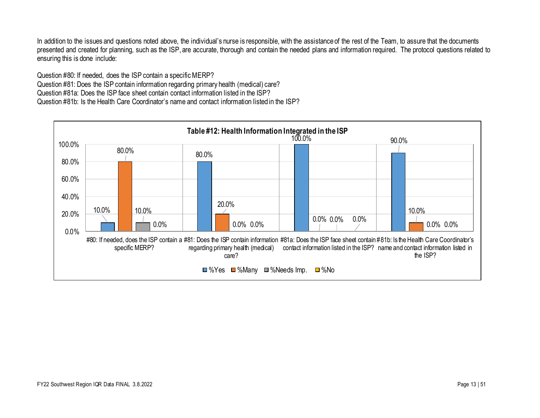In addition to the issues and questions noted above, the individual's nurse is responsible, with the assistance of the rest of the Team, to assure that the documents presented and created for planning, such as the ISP, are accurate, thorough and contain the needed plans and information required. The protocol questions related to ensuring this is done include:

Question #80: If needed, does the ISP contain a specific MERP? Question #81: Does the ISP contain information regarding primary health (medical) care? Question #81a: Does the ISP face sheet contain contact information listed in the ISP? Question #81b: Is the Health Care Coordinator's name and contact information listed in the ISP?

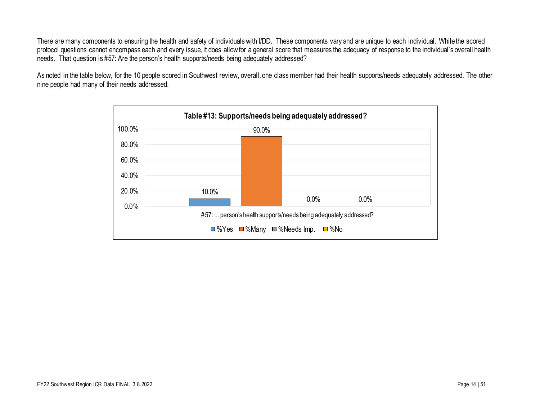There are many components to ensuring the health and safety of individuals with I/DD. These components vary and are unique to each individual. While the scored protocol questions cannot encompass each and every issue, it does allow for a general score that measures the adequacy of response to the individual's overall health needs. That question is #57: Are the person's health supports/needs being adequately addressed?

As noted in the table below, for the 10 people scored in Southwest review, overall, one class member had their health supports/needs adequately addressed. The other nine people had many of their needs addressed.

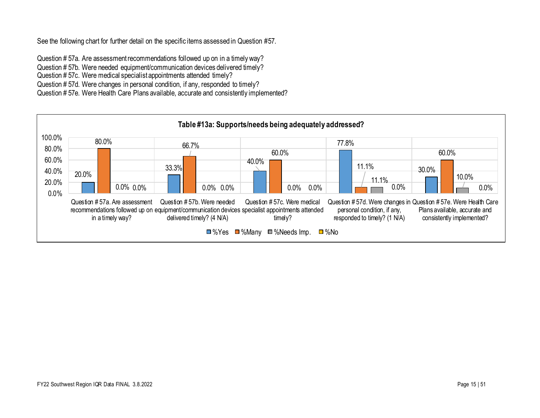See the following chart for further detail on the specific items assessed in Question #57.

Question # 57a. Are assessment recommendations followed up on in a timely way? Question # 57b. Were needed equipment/communication devices delivered timely? Question # 57c. Were medical specialist appointments attended timely? Question # 57d. Were changes in personal condition, if any, responded to timely? Question # 57e. Were Health Care Plans available, accurate and consistently implemented?

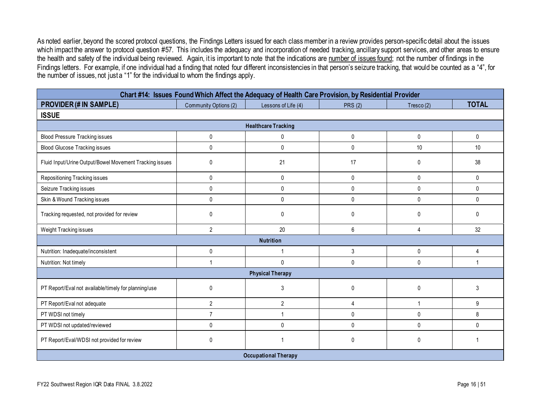As noted earlier, beyond the scored protocol questions, the Findings Letters issued for each class member in a review provides person-specific detail about the issues which impact the answer to protocol question #57. This includes the adequacy and incorporation of needed tracking, ancillary support services, and other areas to ensure the health and safety of the individual being reviewed. Again, it is important to note that the indications are number of issues found; not the number of findings in the Findings letters. For example, if one individual had a finding that noted four different inconsistencies in that person's seizure tracking, that would be counted as a "4", for the number of issues, not just a "1" for the individual to whom the findings apply.

| Chart #14: Issues Found Which Affect the Adequacy of Health Care Provision, by Residential Provider |                       |                             |                |              |                |  |  |  |  |  |
|-----------------------------------------------------------------------------------------------------|-----------------------|-----------------------------|----------------|--------------|----------------|--|--|--|--|--|
| <b>PROVIDER (# IN SAMPLE)</b>                                                                       | Community Options (2) | Lessons of Life (4)         | <b>PRS (2)</b> | Tresco(2)    | <b>TOTAL</b>   |  |  |  |  |  |
| <b>ISSUE</b>                                                                                        |                       |                             |                |              |                |  |  |  |  |  |
| <b>Healthcare Tracking</b>                                                                          |                       |                             |                |              |                |  |  |  |  |  |
| <b>Blood Pressure Tracking issues</b>                                                               | 0                     | 0                           | $\mathbf{0}$   | 0            | $\pmb{0}$      |  |  |  |  |  |
| <b>Blood Glucose Tracking issues</b>                                                                | 0                     | 0                           | $\mathbf 0$    | 10           | 10             |  |  |  |  |  |
| Fluid Input/Urine Output/Bowel Movement Tracking issues                                             | 0                     | 21                          | 17             | 0            | 38             |  |  |  |  |  |
| Repositioning Tracking issues                                                                       | 0                     | $\mathbf{0}$                | $\mathbf{0}$   | $\mathbf{0}$ | $\mathbf{0}$   |  |  |  |  |  |
| Seizure Tracking issues                                                                             | 0                     | $\mathbf 0$                 | $\mathbf 0$    | $\mathbf{0}$ | $\mathbf{0}$   |  |  |  |  |  |
| Skin & Wound Tracking issues                                                                        | 0                     | $\mathbf 0$                 | $\mathbf{0}$   | $\mathbf{0}$ | $\mathbf{0}$   |  |  |  |  |  |
| Tracking requested, not provided for review                                                         | 0                     | $\mathbf{0}$                | $\Omega$       | $\mathbf{0}$ | $\Omega$       |  |  |  |  |  |
| Weight Tracking issues                                                                              | $\overline{2}$        | 20                          | 6              | 4            | 32             |  |  |  |  |  |
|                                                                                                     |                       | <b>Nutrition</b>            |                |              |                |  |  |  |  |  |
| Nutrition: Inadequate/inconsistent                                                                  | 0                     | 1                           | $\mathfrak{Z}$ | $\mathbf{0}$ | $\overline{4}$ |  |  |  |  |  |
| Nutrition: Not timely                                                                               | 1                     | $\mathbf{0}$                | $\mathbf{0}$   | 0            |                |  |  |  |  |  |
|                                                                                                     |                       | <b>Physical Therapy</b>     |                |              |                |  |  |  |  |  |
| PT Report/Eval not available/timely for planning/use                                                | 0                     | 3                           | $\mathbf{0}$   | $\mathbf{0}$ | 3              |  |  |  |  |  |
| PT Report/Eval not adequate                                                                         | $\overline{2}$        | $\overline{2}$              | $\overline{4}$ | $\mathbf{1}$ | 9              |  |  |  |  |  |
| PT WDSI not timely                                                                                  | $\overline{7}$        | 1                           | $\mathbf 0$    | 0            | 8              |  |  |  |  |  |
| PT WDSI not updated/reviewed                                                                        | 0                     | $\mathbf{0}$                | $\mathbf{0}$   | $\mathbf{0}$ | $\mathbf{0}$   |  |  |  |  |  |
| PT Report/Eval/WDSI not provided for review                                                         | 0                     |                             | $\mathbf{0}$   | 0            |                |  |  |  |  |  |
|                                                                                                     |                       | <b>Occupational Therapy</b> |                |              |                |  |  |  |  |  |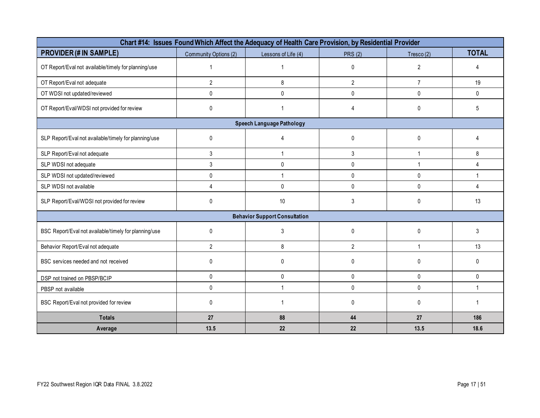| Chart #14: Issues Found Which Affect the Adequacy of Health Care Provision, by Residential Provider |                       |                                      |                |                |              |  |  |  |  |
|-----------------------------------------------------------------------------------------------------|-----------------------|--------------------------------------|----------------|----------------|--------------|--|--|--|--|
| <b>PROVIDER (# IN SAMPLE)</b>                                                                       | Community Options (2) | Lessons of Life (4)                  | <b>PRS (2)</b> | Tresco $(2)$   | <b>TOTAL</b> |  |  |  |  |
| OT Report/Eval not available/timely for planning/use                                                |                       |                                      | 0              | $\overline{2}$ | Δ            |  |  |  |  |
| OT Report/Eval not adequate                                                                         | $\overline{2}$        | 8                                    | $\overline{2}$ | $\overline{7}$ | 19           |  |  |  |  |
| OT WDSI not updated/reviewed                                                                        | 0                     | 0                                    | 0              | 0              | $\mathbf 0$  |  |  |  |  |
| OT Report/Eval/WDSI not provided for review                                                         | 0                     |                                      | 4              | 0              | 5            |  |  |  |  |
|                                                                                                     |                       | Speech Language Pathology            |                |                |              |  |  |  |  |
| SLP Report/Eval not available/timely for planning/use                                               | 0                     | 4                                    | 0              | $\pmb{0}$      | 4            |  |  |  |  |
| SLP Report/Eval not adequate                                                                        | 3                     |                                      | 3              | $\mathbf{1}$   | 8            |  |  |  |  |
| SLP WDSI not adequate                                                                               | $\mathfrak{Z}$        | 0                                    | 0              | $\mathbf{1}$   | 4            |  |  |  |  |
| SLP WDSI not updated/reviewed                                                                       | 0                     | 1                                    | $\mathbf 0$    | $\mathbf{0}$   | $\mathbf{1}$ |  |  |  |  |
| SLP WDSI not available                                                                              | 4                     | 0                                    | 0              | 0              | 4            |  |  |  |  |
| SLP Report/Eval/WDSI not provided for review                                                        | $\mathbf 0$           | $10$                                 | 3              | 0              | 13           |  |  |  |  |
|                                                                                                     |                       | <b>Behavior Support Consultation</b> |                |                |              |  |  |  |  |
| BSC Report/Eval not available/timely for planning/use                                               | $\mathbf{0}$          | 3                                    | $\mathbf{0}$   | $\mathbf 0$    | 3            |  |  |  |  |
| Behavior Report/Eval not adequate                                                                   | $\overline{2}$        | 8                                    | $\mathbf{2}$   | $\mathbf{1}$   | 13           |  |  |  |  |
| BSC services needed and not received                                                                | $\mathbf 0$           | 0                                    | 0              | 0              | 0            |  |  |  |  |
| DSP not trained on PBSP/BCIP                                                                        | $\mathbf 0$           | $\mathbf 0$                          | $\mathbf 0$    | $\mathbf 0$    | $\mathbf 0$  |  |  |  |  |
| PBSP not available                                                                                  | $\mathbf{0}$          | $\overline{1}$                       | $\mathbf 0$    | $\mathbf 0$    | $\mathbf{1}$ |  |  |  |  |
| BSC Report/Eval not provided for review                                                             | $\mathbf 0$           | 1                                    | 0              | 0              |              |  |  |  |  |
| <b>Totals</b>                                                                                       | 27                    | 88                                   | 44             | 27             | 186          |  |  |  |  |
| Average                                                                                             | 13.5                  | 22                                   | 22             | 13.5           | 18.6         |  |  |  |  |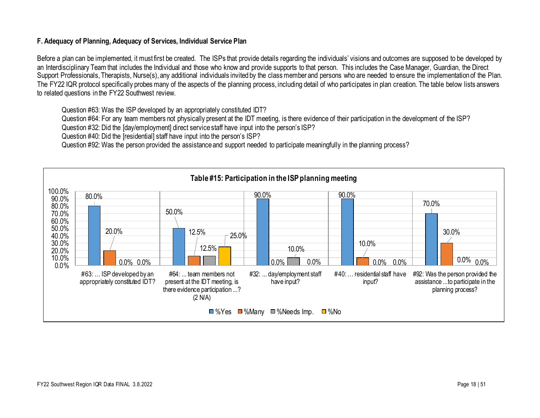#### **F. Adequacy of Planning, Adequacy of Services, Individual Service Plan**

Before a plan can be implemented, it must first be created. The ISPs that provide details regarding the individuals' visions and outcomes are supposed to be developed by an Interdisciplinary Team that includes the Individual and those who know and provide supports to that person. This includes the Case Manager, Guardian, the Direct Support Professionals, Therapists, Nurse(s), any additional individuals invited by the class member and persons who are needed to ensure the implementation of the Plan. The FY22 IQR protocol specifically probes many of the aspects of the planning process, including detail of who participates in plan creation. The table below lists answers to related questions in the FY22 Southwest review.

Question #63: Was the ISP developed by an appropriately constituted IDT?

Question #64: For any team members not physically present at the IDT meeting, is there evidence of their participation in the development of the ISP?

Question #32: Did the [day/employment] direct service staff have input into the person's ISP?

Question #40: Did the [residential] staff have input into the person's ISP?

Question #92: Was the person provided the assistance and support needed to participate meaningfully in the planning process?

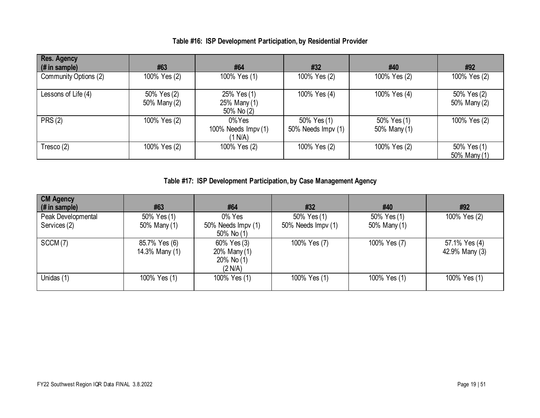| <b>Res. Agency</b><br>(# in sample) | #63                         | #64                                         | #32                               | #40                         | #92                         |
|-------------------------------------|-----------------------------|---------------------------------------------|-----------------------------------|-----------------------------|-----------------------------|
| Community Options (2)               | 100% Yes (2)                | 100% Yes (1)                                | 100% Yes (2)                      | 100% Yes (2)                | 100% Yes (2)                |
| Lessons of Life (4)                 | 50% Yes (2)<br>50% Many (2) | 25% Yes (1)<br>25% Many (1)<br>50% No (2)   | 100% Yes (4)                      | 100% Yes (4)                | 50% Yes (2)<br>50% Many (2) |
| <b>PRS (2)</b>                      | 100% Yes (2)                | $0\%$ Yes<br>100% Needs Impv (1)<br>(1 N/A) | 50% Yes (1)<br>50% Needs Impv (1) | 50% Yes (1)<br>50% Many (1) | 100% Yes (2)                |
| Tresco (2)                          | 100% Yes (2)                | 100% Yes (2)                                | 100% Yes (2)                      | 100% Yes (2)                | 50% Yes (1)<br>50% Many (1) |

## **Table #16: ISP Development Participation, by Residential Provider**

**Table #17: ISP Development Participation, by Case Management Agency**

| <b>CM Agency</b><br>(# in sample) | #63                             | #64                                                     | #32                | #40          | #92                             |
|-----------------------------------|---------------------------------|---------------------------------------------------------|--------------------|--------------|---------------------------------|
| Peak Developmental                | 50% Yes (1)                     | 0% Yes                                                  | 50% Yes (1)        | 50% Yes (1)  | 100% Yes (2)                    |
| Services (2)                      | 50% Many (1)                    | 50% Needs Impv (1)<br>50% No $(1)$                      | 50% Needs Impv (1) | 50% Many (1) |                                 |
| SCCM(7)                           | 85.7% Yes (6)<br>14.3% Many (1) | 60% Yes (3)<br>20% Many (1)<br>$20\%$ No (1)<br>(2 N/A) | 100% Yes (7)       | 100% Yes (7) | 57.1% Yes (4)<br>42.9% Many (3) |
| Unidas (1)                        | 100% Yes (1)                    | 100% Yes (1)                                            | 100% Yes (1)       | 100% Yes (1) | 100% Yes (1)                    |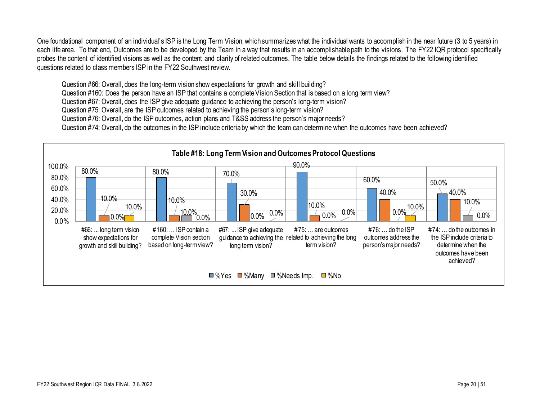One foundational component of an individual's ISP is the Long Term Vision, which summarizes what the individual wants to accomplish in the near future (3 to 5 years) in each life area. To that end, Outcomes are to be developed by the Team in a way that results in an accomplishable path to the visions. The FY22 IQR protocol specifically probes the content of identified visions as well as the content and clarity of related outcomes. The table below details the findings related to the following identified questions related to class members ISP in the FY22 Southwest review.

Question #66: Overall, does the long-term vision show expectations for growth and skill building?

Question #160: Does the person have an ISP that contains a complete Vision Section that is based on a long term view?

Question #67: Overall, does the ISP give adequate guidance to achieving the person's long-term vision?

Question #75: Overall, are the ISP outcomes related to achieving the person's long-term vision?

Question #76: Overall, do the ISP outcomes, action plans and T&SS address the person's major needs?

Question #74: Overall, do the outcomes in the ISP include criteria by which the team can determine when the outcomes have been achieved?

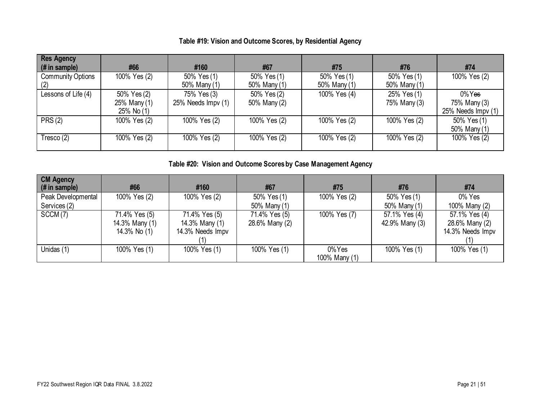| Table #19: Vision and Outcome Scores, by Residential Agency |  |  |
|-------------------------------------------------------------|--|--|
|-------------------------------------------------------------|--|--|

| <b>Res Agency</b><br>$#$ in sample) | #66                                       | #160                              | #67                         | #75                         | #76                         | #74                                             |
|-------------------------------------|-------------------------------------------|-----------------------------------|-----------------------------|-----------------------------|-----------------------------|-------------------------------------------------|
| <b>Community Options</b><br>(2)     | 100% Yes (2)                              | 50% Yes (1)<br>50% Many (1)       | 50% Yes (1)<br>50% Many (1) | 50% Yes (1)<br>50% Many (1) | 50% Yes (1)<br>50% Many (1) | 100% Yes (2)                                    |
| Lessons of Life (4)                 | 50% Yes (2)<br>25% Many (1)<br>25% No (1) | 75% Yes (3)<br>25% Needs Impv (1) | 50% Yes (2)<br>50% Many (2) | 100% Yes (4)                | 25% Yes (1)<br>75% Many (3) | $0\%$ Yes<br>75% Many (3)<br>25% Needs Impv (1) |
| <b>PRS (2)</b>                      | 100% Yes (2)                              | 100% Yes (2)                      | 100% Yes (2)                | 100% Yes (2)                | 100% Yes (2)                | 50% Yes (1)<br>50% Many (1)                     |
| Tresco (2)                          | 100% Yes (2)                              | 100% Yes (2)                      | 100% Yes (2)                | 100% Yes (2)                | 100% Yes (2)                | 100% Yes (2)                                    |

**Table #20: Vision and Outcome Scores by Case Management Agency**

| <b>CM Agency</b><br>(# in sample) | #66            | #160             | #67            | #75           | #76            | #74              |
|-----------------------------------|----------------|------------------|----------------|---------------|----------------|------------------|
| Peak Developmental                | 100% Yes (2)   | 100% Yes (2)     | 50% Yes (1)    | 100% Yes (2)  | 50% Yes (1)    | 0% Yes           |
| Services (2)                      |                |                  | 50% Many (1)   |               | 50% Many (1)   | 100% Many (2)    |
| SCCM(7)                           | 71.4% Yes (5)  | 71.4% Yes (5)    | 71.4% Yes (5)  | 100% Yes (7)  | 57.1% Yes (4)  | 57.1% Yes (4)    |
|                                   | 14.3% Many (1) | 14.3% Many (1)   | 28.6% Many (2) |               | 42.9% Many (3) | 28.6% Many (2)   |
|                                   | 14.3% No (1)   | 14.3% Needs Impv |                |               |                | 14.3% Needs Impv |
|                                   |                |                  |                |               |                |                  |
| Unidas (1)                        | 100% Yes (1)   | 100% Yes (1)     | 100% Yes (1)   | 0%Yes         | 100% Yes (1)   | 100% Yes (1)     |
|                                   |                |                  |                | 100% Many (1) |                |                  |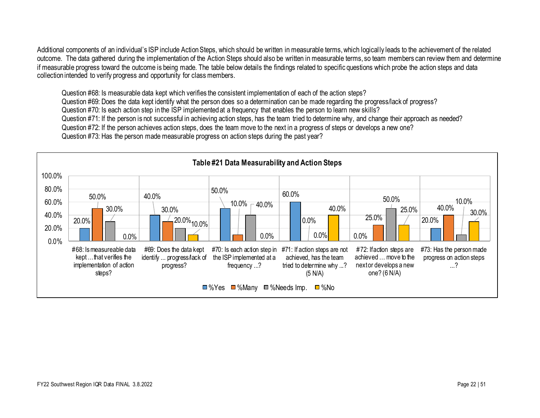Additional components of an individual's ISP include Action Steps, which should be written in measurable terms, which logically leads to the achievement of the related outcome. The data gathered during the implementation of the Action Steps should also be written in measurable terms, so team members can review them and determine if measurable progress toward the outcome is being made. The table below details the findings related to specific questions which probe the action steps and data collection intended to verify progress and opportunity for class members.

Question #68: Is measurable data kept which verifies the consistent implementation of each of the action steps? Question #69: Does the data kept identify what the person does so a determination can be made regarding the progress/lack of progress? Question #70: Is each action step in the ISP implemented at a frequency that enables the person to learn new skills? Question #71: If the person is not successful in achieving action steps, has the team tried to determine why, and change their approach as needed? Question #72: If the person achieves action steps, does the team move to the next in a progress of steps or develops a new one? Question #73: Has the person made measurable progress on action steps during the past year?

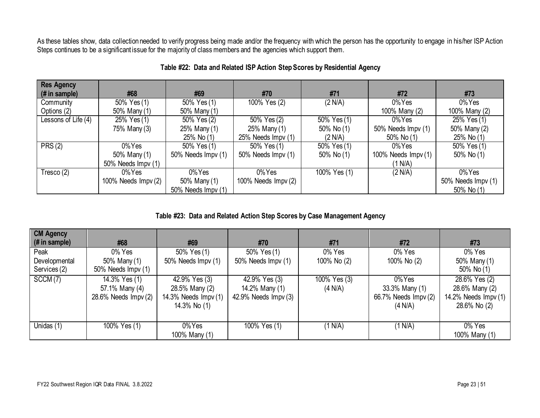As these tables show, data collection needed to verify progress being made and/or the frequency with which the person has the opportunity to engage in his/her ISP Action Steps continues to be a significant issue for the majority of class members and the agencies which support them.

| <b>Res Agency</b>   |                     |                    |                     |              |                     |                    |
|---------------------|---------------------|--------------------|---------------------|--------------|---------------------|--------------------|
| (# in sample)       | #68                 | #69                | #70                 | #71          | #72                 | #73                |
| Community           | 50% Yes (1)         | 50% Yes (1)        | 100% Yes (2)        | (2 N/A)      | 0%Yes               | $0\%$ Yes          |
| Options (2)         | 50% Many (1)        | 50% Many (1)       |                     |              | 100% Many (2)       | 100% Many (2)      |
| Lessons of Life (4) | 25% Yes (1)         | 50% Yes (2)        | 50% Yes (2)         | 50% Yes (1)  | $0\%$ Yes           | 25% Yes (1)        |
|                     | 75% Many (3)        | 25% Many (1)       | 25% Many (1)        | 50% No (1)   | 50% Needs Impv (1)  | 50% Many (2)       |
|                     |                     | 25% No (1)         | 25% Needs Impv (1)  | (2 N/A)      | 50% No (1)          | 25% No (1)         |
| PRS(2)              | 0%Yes               | 50% Yes (1)        | 50% Yes (1)         | 50% Yes (1)  | $0\%$ Yes           | 50% Yes (1)        |
|                     | 50% Many (1)        | 50% Needs Impv (1) | 50% Needs Impv (1)  | 50% No $(1)$ | 100% Needs Impv (1) | 50% No (1)         |
|                     | 50% Needs Impv (1)  |                    |                     |              | (1 N/A)             |                    |
| Tresco (2)          | $0\%$ Yes           | $0\%$ Yes          | $0\%$ Yes           | 100% Yes (1) | (2 N/A)             | 0%Yes              |
|                     | 100% Needs Impv (2) | 50% Many (1)       | 100% Needs Impv (2) |              |                     | 50% Needs Impv (1) |
|                     |                     | 50% Needs Impv (1) |                     |              |                     | 50% No (1)         |

### **Table #22: Data and Related ISP Action Step Scores by Residential Agency**

**Table #23: Data and Related Action Step Scores by Case Management Agency**

| <b>CM Agency</b><br>(# in sample)     | #68                                                     | #69                                                                     | #70                                                      | #71                     | #72                                                            | #73                                                                      |
|---------------------------------------|---------------------------------------------------------|-------------------------------------------------------------------------|----------------------------------------------------------|-------------------------|----------------------------------------------------------------|--------------------------------------------------------------------------|
| Peak<br>Developmental<br>Services (2) | 0% Yes<br>50% Many (1)<br>50% Needs Impv (1)            | 50% Yes (1)<br>50% Needs Impv (1)                                       | 50% Yes (1)<br>50% Needs Impv (1)                        | 0% Yes<br>100% No (2)   | 0% Yes<br>100% No (2)                                          | 0% Yes<br>50% Many (1)<br>50% No (1)                                     |
| SCCM(7)                               | 14.3% Yes (1)<br>57.1% Many (4)<br>28.6% Needs Impv (2) | 42.9% Yes (3)<br>28.5% Many (2)<br>14.3% Needs Impv (1)<br>14.3% No (1) | 42.9% Yes (3)<br>14.2% Many (1)<br>42.9% Needs $Impv(3)$ | 100% Yes (3)<br>(4 N/A) | $0\%$ Yes<br>33.3% Many (1)<br>66.7% Needs Impv (2)<br>(4 N/A) | 28.6% Yes (2)<br>28.6% Many (2)<br>14.2% Needs $Impv(1)$<br>28.6% No (2) |
| Unidas (1)                            | 100% Yes (1)                                            | $0\%$ Yes<br>100% Many (1)                                              | 100% Yes (1)                                             | (1 N/A)                 | (1 N/A)                                                        | 0% Yes<br>100% Many (1)                                                  |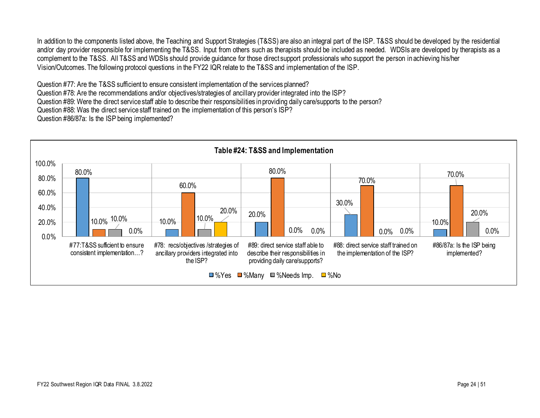In addition to the components listed above, the Teaching and Support Strategies (T&SS) are also an integral part of the ISP. T&SS should be developed by the residential and/or day provider responsible for implementing the T&SS. Input from others such as therapists should be included as needed. WDSIs are developed by therapists as a complement to the T&SS. All T&SS and WDSIs should provide guidance for those direct support professionals who support the person in achieving his/her Vision/Outcomes. The following protocol questions in the FY22 IQR relate to the T&SS and implementation of the ISP.

Question #77: Are the T&SS sufficient to ensure consistent implementation of the services planned? Question #78: Are the recommendations and/or objectives/strategies of ancillary provider integrated into the ISP? Question #89: Were the direct service staff able to describe their responsibilities in providing daily care/supports to the person? Question #88: Was the direct service staff trained on the implementation of this person's ISP? Question #86/87a: Is the ISP being implemented?

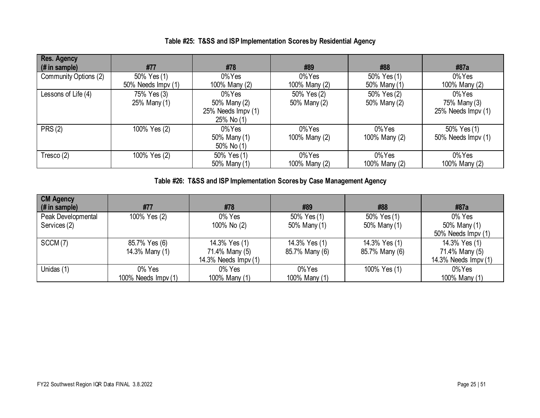| <b>Res. Agency</b><br>$#$ in sample) | #77                               | #78                                                        | #89                         | #88                         | #87a                                            |
|--------------------------------------|-----------------------------------|------------------------------------------------------------|-----------------------------|-----------------------------|-------------------------------------------------|
| Community Options (2)                | 50% Yes (1)<br>50% Needs Impv (1) | 0% Yes<br>100% Many (2)                                    | 0%Yes<br>100% Many (2)      | 50% Yes (1)<br>50% Many (1) | 0%Yes<br>100% Many (2)                          |
| Lessons of Life (4)                  | 75% Yes (3)<br>25% Many (1)       | 0% Yes<br>50% Many (2)<br>25% Needs Impv (1)<br>25% No (1) | 50% Yes (2)<br>50% Many (2) | 50% Yes (2)<br>50% Many (2) | $0\%$ Yes<br>75% Many (3)<br>25% Needs Impv (1) |
| PRS(2)                               | 100% Yes (2)                      | 0% Yes<br>50% Many (1)<br>50% No (1)                       | $0\%$ Yes<br>100% Many (2)  | 0%Yes<br>100% Many (2)      | 50% Yes (1)<br>50% Needs Impv (1)               |
| Tresco (2)                           | 100% Yes (2)                      | 50% Yes (1)<br>50% Many (1)                                | $0\%$ Yes<br>100% Many (2)  | $0\%$ Yes<br>100% Many (2)  | $0\%$ Yes<br>100% Many (2)                      |

**Table #26: T&SS and ISP Implementation Scores by Case Management Agency**

| <b>CM Agency</b><br>(# in sample)  | #77                             | #78                                                     | #89                             | #88                             | #87a                                                    |
|------------------------------------|---------------------------------|---------------------------------------------------------|---------------------------------|---------------------------------|---------------------------------------------------------|
| Peak Developmental<br>Services (2) | 100% Yes (2)                    | 0% Yes<br>100% No (2)                                   | 50% Yes (1)<br>50% Many (1)     | 50% Yes (1)<br>50% Many (1)     | 0% Yes<br>50% Many (1)<br>50% Needs Impv (1)            |
| SCCM(7)                            | 85.7% Yes (6)<br>14.3% Many (1) | 14.3% Yes (1)<br>71.4% Many (5)<br>14.3% Needs Impv (1) | 14.3% Yes (1)<br>85.7% Many (6) | 14.3% Yes (1)<br>85.7% Many (6) | 14.3% Yes (1)<br>71.4% Many (5)<br>14.3% Needs Impv (1) |
| Unidas (1)                         | 0% Yes<br>100% Needs $Impv(1)$  | 0% Yes<br>100% Many (1)                                 | 0%Yes<br>100% Many (1)          | 100% Yes (1)                    | 0%Yes<br>100% Many (1)                                  |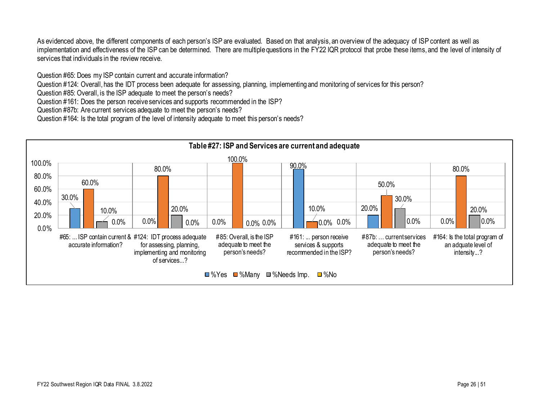As evidenced above, the different components of each person's ISP are evaluated. Based on that analysis, an overview of the adequacy of ISP content as well as implementation and effectiveness of the ISP can be determined. There are multiple questions in the FY22 IQR protocol that probe these items, and the level of intensity of services that individuals in the review receive.

Question #65: Does my ISP contain current and accurate information?

Question #124: Overall, has the IDT process been adequate for assessing, planning, implementing and monitoring of services for this person?

Question #85: Overall, is the ISP adequate to meet the person's needs?

Question #161: Does the person receive services and supports recommended in the ISP?

Question #87b: Are current services adequate to meet the person's needs?

Question #164: Is the total program of the level of intensity adequate to meet this person's needs?

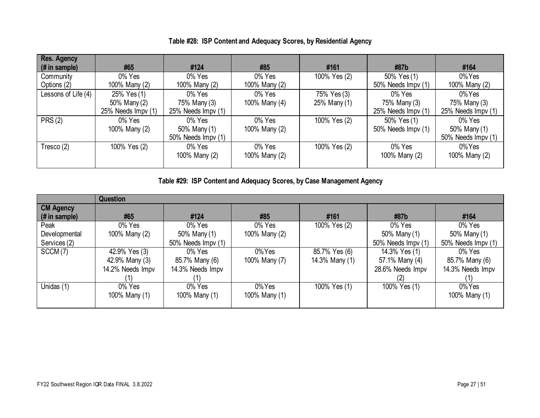| Res. Agency<br>(# in sample) | #65                | #124               | #85           | #161         | #87b               | #164               |
|------------------------------|--------------------|--------------------|---------------|--------------|--------------------|--------------------|
| Community                    | 0% Yes             | 0% Yes             | 0% Yes        | 100% Yes (2) | 50% Yes (1)        | $0\%$ Yes          |
| Options (2)                  | 100% Many (2)      | 100% Many (2)      | 100% Many (2) |              | 50% Needs Impv (1) | 100% Many (2)      |
| Lessons of Life (4)          | 25% Yes (1)        | 0% Yes             | 0% Yes        | 75% Yes (3)  | 0% Yes             | 0%Yes              |
|                              | 50% Many (2)       | 75% Many (3)       | 100% Many (4) | 25% Many (1) | 75% Many (3)       | 75% Many (3)       |
|                              | 25% Needs Impv (1) | 25% Needs Impv (1) |               |              | 25% Needs Impv (1) | 25% Needs Impv (1) |
| PRS(2)                       | 0% Yes             | 0% Yes             | 0% Yes        | 100% Yes (2) | 50% Yes (1)        | 0% Yes             |
|                              | 100% Many (2)      | 50% Many (1)       | 100% Many (2) |              | 50% Needs Impv (1) | 50% Many (1)       |
|                              |                    | 50% Needs Impv (1) |               |              |                    | 50% Needs Impv (1) |
| Tresco (2)                   | 100% Yes (2)       | 0% Yes             | 0% Yes        | 100% Yes (2) | 0% Yes             | 0%Yes              |
|                              |                    | 100% Many (2)      | 100% Many (2) |              | 100% Many (2)      | 100% Many (2)      |
|                              |                    |                    |               |              |                    |                    |

**Table #28: ISP Content and Adequacy Scores, by Residential Agency**

**Table #29: ISP Content and Adequacy Scores, by Case Management Agency**

|                       | Question         |                    |               |                                |                    |                    |  |
|-----------------------|------------------|--------------------|---------------|--------------------------------|--------------------|--------------------|--|
| <b>CM Agency</b>      |                  |                    |               |                                |                    |                    |  |
| (# in sample)         | #65              | #124               | #85           | #161                           | #87b               | #164               |  |
| Peak                  | 0% Yes           | 0% Yes             | 0% Yes        | 100% Yes (2)                   | 0% Yes             | 0% Yes             |  |
| Developmental         | 100% Many (2)    | 50% Many (1)       | 100% Many (2) |                                | 50% Many (1)       | 50% Many (1)       |  |
| Services (2)          |                  | 50% Needs Impv (1) |               |                                | 50% Needs Impv (1) | 50% Needs Impv (1) |  |
| $\overline{SCCM}$ (7) | 42.9% Yes (3)    | 0% Yes             | $0\%$ Yes     | $85.7\%$ Yes (6)               | 14.3% Yes (1)      | 0% Yes             |  |
|                       | 42.9% Many (3)   | 85.7% Many (6)     | 100% Many (7) | 14.3% Many (1)                 | 57.1% Many (4)     | 85.7% Many (6)     |  |
|                       | 14.2% Needs Impv | 14.3% Needs Impv   |               |                                | 28.6% Needs Impv   | 14.3% Needs Impv   |  |
|                       |                  |                    |               |                                |                    |                    |  |
| Unidas (1)            | 0% Yes           | 0% Yes             | $0\%$ Yes     | $\sqrt{100\% \text{ Yes}}$ (1) | 100% Yes (1)       | $0\%$ Yes          |  |
|                       | 100% Many (1)    | 100% Many (1)      | 100% Many (1) |                                |                    | 100% Many (1)      |  |
|                       |                  |                    |               |                                |                    |                    |  |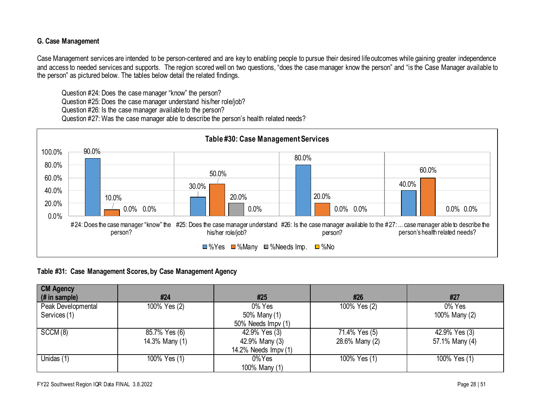#### **G. Case Management**

Case Management services are intended to be person-centered and are key to enabling people to pursue their desired life outcomes while gaining greater independence and access to needed services and supports. The region scored well on two questions, "does the case manager know the person" and "is the Case Manager available to the person" as pictured below. The tables below detail the related findings.

Question #24: Does the case manager "know" the person? Question #25: Does the case manager understand his/her role/job? Question #26: Is the case manager available to the person? Question #27: Was the case manager able to describe the person's health related needs?



#### **Table #31: Case Management Scores, by Case Management Agency**

| <b>CM Agency</b><br>(# in sample) | #24            | #25                  | #26            | #27            |
|-----------------------------------|----------------|----------------------|----------------|----------------|
| Peak Developmental                | 100% Yes (2)   | 0% Yes               | 100% Yes (2)   | 0% Yes         |
| Services (1)                      |                | 50% Many (1)         |                | 100% Many (2)  |
|                                   |                | 50% Needs Impv (1)   |                |                |
| SCCM(8)                           | 85.7% Yes (6)  | 42.9% Yes (3)        | 71.4% Yes (5)  | 42.9% Yes (3)  |
|                                   | 14.3% Many (1) | 42.9% Many (3)       | 28.6% Many (2) | 57.1% Many (4) |
|                                   |                | 14.2% Needs Impv (1) |                |                |
| Unidas (1)                        | 100% Yes (1)   | 0%Yes                | 100% Yes (1)   | 100% Yes (1)   |
|                                   |                | 100% Many (1)        |                |                |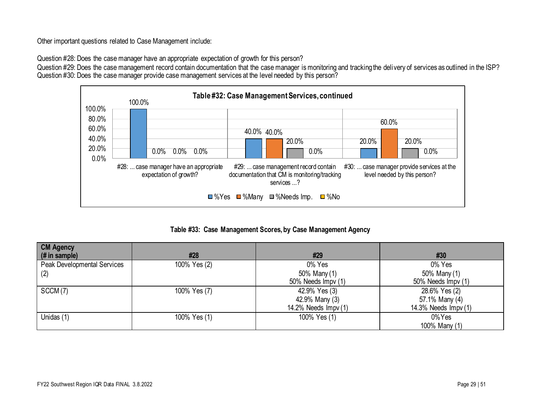Other important questions related to Case Management include:

Question #28: Does the case manager have an appropriate expectation of growth for this person?

Question #29: Does the case management record contain documentation that the case manager is monitoring and tracking the delivery of services as outlined in the ISP? Question #30: Does the case manager provide case management services at the level needed by this person?



**Table #33: Case Management Scores, by Case Management Agency**

| <b>CM Agency</b><br>$#$ in sample) | #28          | #29                  | #30                  |
|------------------------------------|--------------|----------------------|----------------------|
| Peak Developmental Services        | 100% Yes (2) | 0% Yes               | 0% Yes               |
| (2)                                |              | 50% Many (1)         | 50% Many (1)         |
|                                    |              | 50% Needs Impv (1)   | 50% Needs Impv (1)   |
| SCCM(7)                            | 100% Yes (7) | 42.9% Yes (3)        | 28.6% Yes (2)        |
|                                    |              | 42.9% Many (3)       | 57.1% Many (4)       |
|                                    |              | 14.2% Needs Impv (1) | 14.3% Needs Impv (1) |
| Unidas (1)                         | 100% Yes (1) | 100% Yes (1)         | 0%Yes                |
|                                    |              |                      | 100% Many (1)        |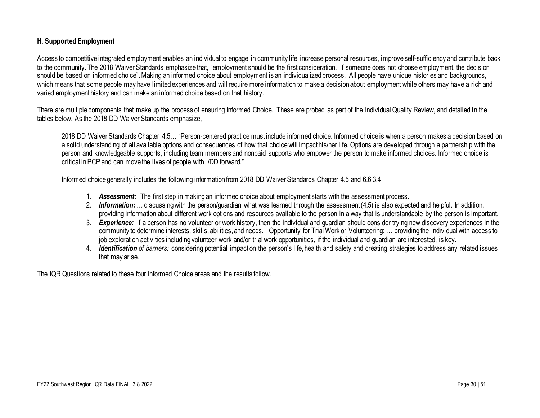#### **H. Supported Employment**

Access to competitive integrated employment enables an individual to engage in community life, increase personal resources, improve self-sufficiency and contribute back to the community. The 2018 Waiver Standards emphasize that, "employment should be the first consideration. If someone does not choose employment, the decision should be based on informed choice". Making an informed choice about employment is an individualized process. All people have unique histories and backgrounds, which means that some people may have limited experiences and will require more information to make a decision about employment while others may have a rich and varied employment history and can make an informed choice based on that history.

There are multiple components that make up the process of ensuring Informed Choice. These are probed as part of the Individual Quality Review, and detailed in the tables below. As the 2018 DD Waiver Standards emphasize,

2018 DD Waiver Standards Chapter 4.5… "Person-centered practice must include informed choice. Informed choice is when a person makes a decision based on a solid understanding of all available options and consequences of how that choice will impact his/her life. Options are developed through a partnership with the person and knowledgeable supports, including team members and nonpaid supports who empower the person to make informed choices. Informed choice is critical in PCP and can move the lives of people with I/DD forward."

Informed choice generally includes the following information from 2018 DD Waiver Standards Chapter 4.5 and 6.6.3.4:

- 1. *Assessment:* The first step in making an informed choice about employment starts with the assessment process.
- 2. *Information: …* discussing with the person/guardian what was learned through the assessment (4.5) is also expected and helpful. In addition, providing information about different work options and resources available to the person in a way that is understandable by the person is important.
- 3. *Experience:* If a person has no volunteer or work history, then the individual and guardian should consider trying new discovery experiences in the community to determine interests, skills, abilities, and needs. Opportunity for Trial Work or Volunteering: … providing the individual with access to job exploration activities including volunteer work and/or trial work opportunities, if the individual and guardian are interested, is key.
- 4. *Identification of barriers:* considering potential impact on the person's life, health and safety and creating strategies to address any related issues that may arise.

The IQR Questions related to these four Informed Choice areas and the results follow.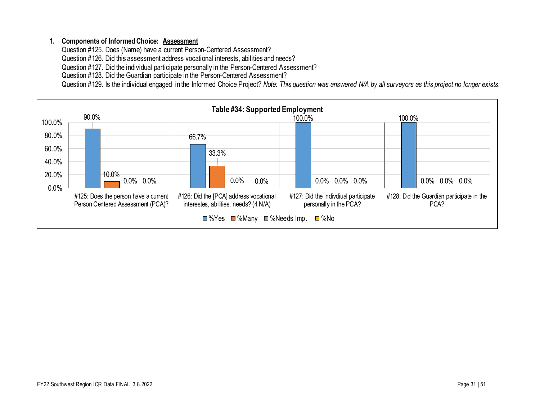#### **1. Components of Informed Choice: Assessment**

Question #125. Does (Name) have a current Person-Centered Assessment?

Question #126. Did this assessment address vocational interests, abilities and needs?

Question #127. Did the individual participate personally in the Person-Centered Assessment?

Question #128. Did the Guardian participate in the Person-Centered Assessment?

Question #129. Is the individual engaged in the Informed Choice Project? *Note: This question was answered N/A by all surveyors as this project no longer exists.*

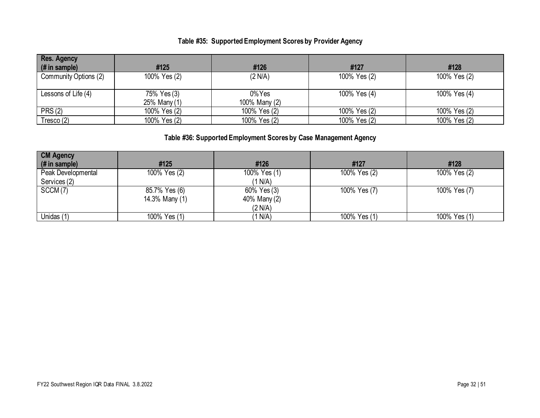## **Table #35: Supported Employment Scores by Provider Agency**

| <b>Res. Agency</b><br>(# in sample) | #125                        | #126                    | #127         | #128         |
|-------------------------------------|-----------------------------|-------------------------|--------------|--------------|
| Community Options (2)               | 100% Yes (2)                | (2 N/A)                 | 100% Yes (2) | 100% Yes (2) |
| Lessons of Life (4)                 | 75% Yes (3)<br>25% Many (1) | 0% Yes<br>100% Many (2) | 100% Yes (4) | 100% Yes (4) |
| PRS(2)                              | 100% Yes (2)                | 100% Yes (2)            | 100% Yes (2) | 100% Yes (2) |
| Tresco (2)                          | 100% Yes (2)                | 100% Yes (2)            | 100% Yes (2) | 100% Yes (2) |

## **Table #36: Supported Employment Scores by Case Management Agency**

| <b>CM Agency</b>   |                |              |              |              |
|--------------------|----------------|--------------|--------------|--------------|
| (# in sample)      | #125           | #126         | #127         | #128         |
| Peak Developmental | 100% Yes (2)   | 100% Yes (1) | 100% Yes (2) | 100% Yes (2) |
| Services (2)       |                | (1 N/A)      |              |              |
| SCCM(7)            | 85.7% Yes (6)  | 60% Yes (3)  | 100% Yes (7) | 100% Yes (7) |
|                    | 14.3% Many (1) | 40% Many (2) |              |              |
|                    |                | (2 N/A)      |              |              |
| Unidas (1)         | 100% Yes (1)   | (1 N/A)      | 100% Yes (1) | 100% Yes (1) |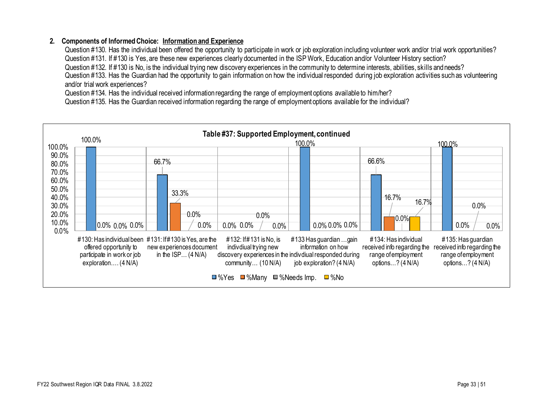#### **2. Components of Informed Choice: Information and Experience**

Question #130. Has the individual been offered the opportunity to participate in work or job exploration including volunteer work and/or trial work opportunities? Question #131. If #130 is Yes, are these new experiences clearly documented in the ISP Work, Education and/or Volunteer History section? Question #132. If #130 is No, is the individual trying new discovery experiences in the community to determine interests, abilities, skills and needs? Question #133. Has the Guardian had the opportunity to gain information on how the individual responded during job exploration activities such as volunteering and/or trial work experiences?

Question #134. Has the individual received information regarding the range of employment options available to him/her?

Question #135. Has the Guardian received information regarding the range of employment options available for the individual?

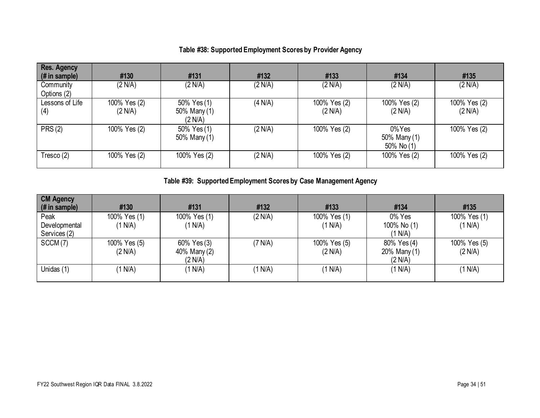# **Table #38: Supported Employment Scores by Provider Agency**

| <b>Res. Agency</b><br>(# in sample) | #130                    | #131                                   | #132    | #133                    | #134                                | #135                    |
|-------------------------------------|-------------------------|----------------------------------------|---------|-------------------------|-------------------------------------|-------------------------|
| Community<br>Options (2)            | (2 N/A)                 | (2 N/A)                                | (2 N/A) | (2 N/A)                 | (2 N/A)                             | (2 N/A)                 |
| Lessons of Life<br>(4)              | 100% Yes (2)<br>(2 N/A) | 50% Yes (1)<br>50% Many (1)<br>(2 N/A) | (4 N/A) | 100% Yes (2)<br>(2 N/A) | 100% Yes (2)<br>(2 N/A)             | 100% Yes (2)<br>(2 N/A) |
| PRS(2)                              | 100% Yes (2)            | 50% Yes (1)<br>50% Many (1)            | (2 N/A) | 100% Yes (2)            | 0%Yes<br>50% Many (1)<br>50% No (1) | 100% Yes (2)            |
| Tresco (2)                          | 100% Yes (2)            | 100% Yes (2)                           | (2 N/A) | 100% Yes (2)            | 100% Yes (2)                        | 100% Yes (2)            |

**Table #39: Supported Employment Scores by Case Management Agency**

| <b>CM Agency</b><br>$\mid$ (# in sample) | #130                    | #131                                   | #132    | #133                    | #134                                   | #135                    |
|------------------------------------------|-------------------------|----------------------------------------|---------|-------------------------|----------------------------------------|-------------------------|
| Peak<br>Developmental<br>Services (2)    | 100% Yes (1)<br>(1 N/A) | 100% Yes (1)<br>(1 N/A)                | (2 N/A) | 100% Yes (1)<br>(1 N/A) | 0% Yes<br>100% No (1)<br>(1 N/A)       | 100% Yes (1)<br>(1 N/A) |
| SCCM(7)                                  | 100% Yes (5)<br>(2 N/A) | 60% Yes (3)<br>40% Many (2)<br>(2 N/A) | (7 N/A) | 100% Yes (5)<br>(2 N/A) | 80% Yes (4)<br>20% Many (1)<br>(2 N/A) | 100% Yes (5)<br>(2 N/A) |
| Unidas (1)                               | (1 N/A)                 | (1 N/A)                                | (1 N/A) | (1 N/A)                 | (1 N/A)                                | (1 N/A)                 |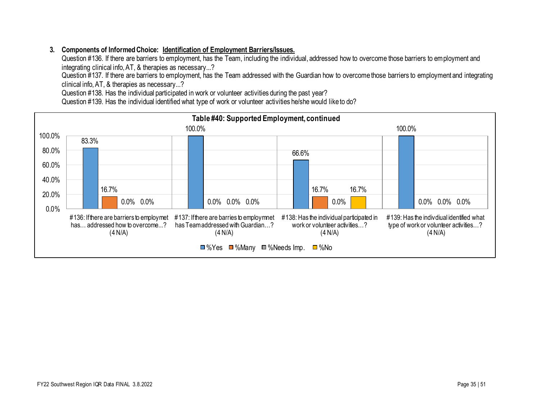### **3. Components of Informed Choice: Identification of Employment Barriers/Issues.**

Question #136. If there are barriers to employment, has the Team, including the individual, addressed how to overcome those barriers to employment and integrating clinical info, AT, & therapies as necessary...?

Question #137. If there are barriers to employment, has the Team addressed with the Guardian how to overcome those barriers to employment and integrating clinical info, AT, & therapies as necessary...?

Question #138. Has the individual participated in work or volunteer activities during the past year?

Question #139. Has the individual identified what type of work or volunteer activities he/she would like to do?

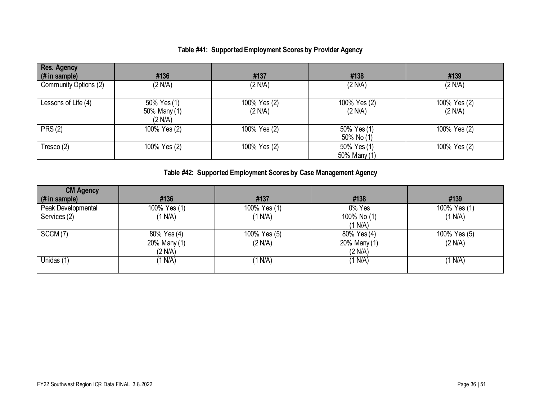# **Table #41: Supported Employment Scores by Provider Agency**

| <b>Res. Agency</b><br>$#$ in sample) | #136                                   | #137                    | #138                        | #139                    |
|--------------------------------------|----------------------------------------|-------------------------|-----------------------------|-------------------------|
| Community Options (2)                | (2 N/A)                                | (2 N/A)                 | (2 N/A)                     | (2 N/A)                 |
| Lessons of Life (4)                  | 50% Yes (1)<br>50% Many (1)<br>(2 N/A) | 100% Yes (2)<br>(2 N/A) | 100% Yes (2)<br>(2 N/A)     | 100% Yes (2)<br>(2 N/A) |
| <b>PRS (2)</b>                       | 100% Yes (2)                           | 100% Yes (2)            | 50% Yes (1)<br>50% No (1)   | 100% Yes (2)            |
| Tresco $(2)$                         | 100% Yes (2)                           | 100% Yes (2)            | 50% Yes (1)<br>50% Many (1) | 100% Yes (2)            |

# **Table #42: Supported Employment Scores by Case Management Agency**

| <b>CM Agency</b>   |              |              |              |              |
|--------------------|--------------|--------------|--------------|--------------|
| (# in sample)      | #136         | #137         | #138         | #139         |
| Peak Developmental | 100% Yes (1) | 100% Yes (1) | 0% Yes       | 100% Yes (1) |
| Services (2)       | (1 N/A)      | (1 N/A)      | 100% No (1)  | (1 N/A)      |
|                    |              |              | (1 N/A)      |              |
| SCCM(7)            | 80% Yes (4)  | 100% Yes (5) | 80% Yes (4)  | 100% Yes (5) |
|                    | 20% Many (1) | (2 N/A)      | 20% Many (1) | (2 N/A)      |
|                    | (2 N/A)      |              | (2 N/A)      |              |
| Unidas (1)         | (1 N/A)      | (1 N/A)      | (1 N/A)      | (1 N/A)      |
|                    |              |              |              |              |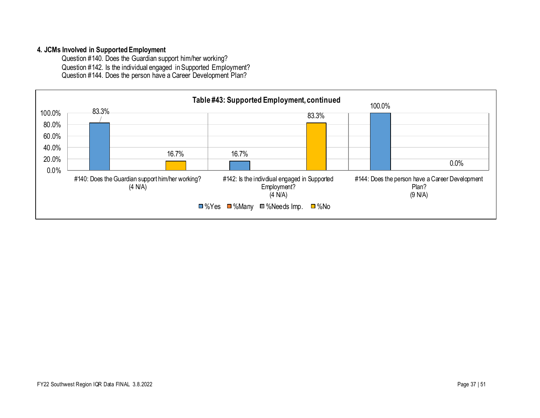#### **4. JCMs Involved in Supported Employment**

Question #140. Does the Guardian support him/her working? Question #142. Is the individual engaged in Supported Employment? Question #144. Does the person have a Career Development Plan?

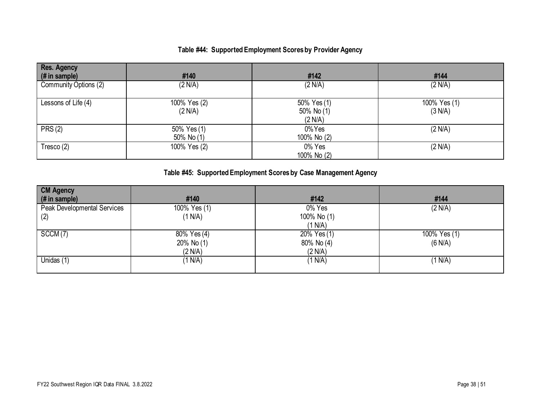# **Table #44: Supported Employment Scores by Provider Agency**

| <b>Res. Agency</b><br>(# in sample) | #140                        | #142                                 | #144                    |
|-------------------------------------|-----------------------------|--------------------------------------|-------------------------|
| Community Options (2)               | (2 N/A)                     | (2 N/A)                              | (2 N/A)                 |
| Lessons of Life (4)                 | 100% Yes (2)<br>(2 N/A)     | 50% Yes (1)<br>50% No (1)<br>(2 N/A) | 100% Yes (1)<br>(3 N/A) |
| PRS(2)                              | 50% Yes (1)<br>50% No $(1)$ | 0%Yes<br>100% No (2)                 | (2 N/A)                 |
| Tresco $(2)$                        | 100% Yes (2)                | 0% Yes<br>100% No (2)                | (2 N/A)                 |

# **Table #45: Supported Employment Scores by Case Management Agency**

| <b>CM Agency</b>            |              |             |              |
|-----------------------------|--------------|-------------|--------------|
| (# in sample)               | #140         | #142        | #144         |
| Peak Developmental Services | 100% Yes (1) | 0% Yes      | (2 N/A)      |
| (2)                         | (1 N/A)      | 100% No (1) |              |
|                             |              | (1 N/A)     |              |
| SCCM(7)                     | 80% Yes (4)  | 20% Yes (1) | 100% Yes (1) |
|                             | 20% No (1)   | 80% No (4)  | (6 N/A)      |
|                             | (2 N/A)      | (2 N/A)     |              |
| Unidas (1)                  | (1 N/A)      | (1 N/A)     | (1 N/A)      |
|                             |              |             |              |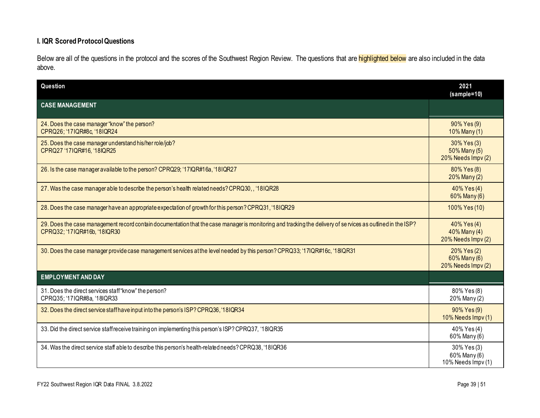### **I. IQR Scored Protocol Questions**

Below are all of the questions in the protocol and the scores of the Southwest Region Review. The questions that are highlighted below are also included in the data above.

| Question                                                                                                                                                                                    | 2021<br>$(sample=10)$                             |
|---------------------------------------------------------------------------------------------------------------------------------------------------------------------------------------------|---------------------------------------------------|
| <b>CASE MANAGEMENT</b>                                                                                                                                                                      |                                                   |
| 24. Does the case manager "know" the person?<br>CPRQ26; '17IQR#8c, '18IQR24                                                                                                                 | 90% Yes (9)<br>10% Many (1)                       |
| 25. Does the case manager understand his/her role/job?<br>CPRQ27 '17IQR#16, '18IQR25                                                                                                        | 30% Yes (3)<br>50% Many (5)<br>20% Needs Impv (2) |
| 26. Is the case manager available to the person? CPRQ29; '17IQR#16a, '18IQR27                                                                                                               | 80% Yes (8)<br>20% Many (2)                       |
| 27. Was the case manager able to describe the person's health related needs? CPRQ30,, '18IQR28                                                                                              | 40% Yes (4)<br>60% Many (6)                       |
| 28. Does the case manager have an appropriate expectation of growth for this person? CPRQ31, '18IQR29                                                                                       | 100% Yes (10)                                     |
| 29. Does the case management record contain documentation that the case manager is monitoring and tracking the delivery of services as outlined in the ISP?<br>CPRQ32; '17IQR#16b, '18IQR30 | 40% Yes (4)<br>40% Many (4)<br>20% Needs Impv (2) |
| 30. Does the case manager provide case management services at the level needed by this person? CPRQ33; '17IQR#16c, '18IQR31                                                                 | 20% Yes (2)<br>60% Many (6)<br>20% Needs Impv (2) |
| <b>EMPLOYMENT AND DAY</b>                                                                                                                                                                   |                                                   |
| 31. Does the direct services staff "know" the person?<br>CPRQ35; '17IQR#8a, '18IQR33                                                                                                        | 80% Yes (8)<br>20% Many (2)                       |
| 32. Does the direct service staff have input into the person's ISP? CPRQ36, '18IQR34                                                                                                        | 90% Yes (9)<br>10% Needs Impv (1)                 |
| 33. Did the direct service staffreceive training on implementing this person's ISP? CPRQ37, '18IQR35                                                                                        | 40% Yes (4)<br>60% Many (6)                       |
| 34. Was the direct service staff able to describe this person's health-related needs? CPRQ38, '18IQR36                                                                                      | 30% Yes (3)<br>60% Many (6)<br>10% Needs Impv (1) |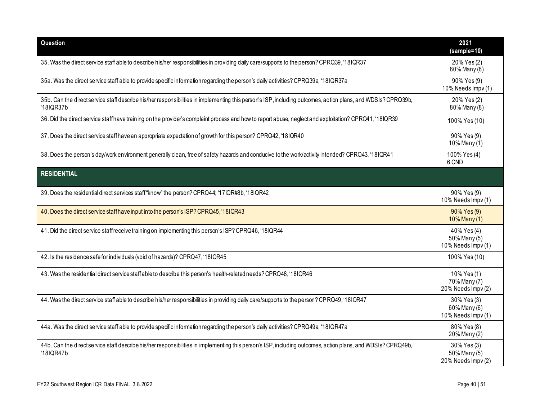| Question                                                                                                                                                                 | 2021<br>(sample=10)                               |
|--------------------------------------------------------------------------------------------------------------------------------------------------------------------------|---------------------------------------------------|
| 35. Was the direct service staff able to describe his/her responsibilities in providing daily care/supports to the person? CPRQ39, '18IQR37                              | 20% Yes (2)<br>80% Many (8)                       |
| 35a. Was the direct service staff able to provide specific information regarding the person's daily activities? CPRQ39a, '18IQR37a                                       | 90% Yes (9)<br>10% Needs Impv (1)                 |
| 35b. Can the directservice staff describe his/her responsibilities in implementing this person's ISP, including outcomes, action plans, and WDSIs? CPRQ39b,<br>'18IQR37b | 20% Yes (2)<br>80% Many (8)                       |
| 36. Did the direct service staffhave training on the provider's complaint process and how to report abuse, neglectand exploitation? CPRQ41, '18IQR39                     | 100% Yes (10)                                     |
| 37. Does the direct service staffhave an appropriate expectation of growth for this person? CPRQ42, '18IQR40                                                             | 90% Yes (9)<br>10% Many (1)                       |
| 38. Does the person's day/work environment generally clean, free of safety hazards and conducive to the work/activity intended? CPRQ43, '18IQR41                         | 100% Yes (4)<br>6 CND                             |
| <b>RESIDENTIAL</b>                                                                                                                                                       |                                                   |
| 39. Does the residential direct services staff "know" the person? CPRQ44; '17IQR#8b, '18IQR42                                                                            | 90% Yes (9)<br>10% Needs Impv (1)                 |
| 40. Does the direct service staff have input into the person's ISP? CPRQ45, '18IQR43                                                                                     | 90% Yes (9)<br>10% Many (1)                       |
| 41. Did the direct service staffreceive training on implementing this person's ISP? CPRQ46, '18IQR44                                                                     | 40% Yes (4)<br>50% Many (5)<br>10% Needs Impv (1) |
| 42. Is the residence safe for individuals (void of hazards)? CPRQ47, '18IQR45                                                                                            | 100% Yes (10)                                     |
| 43. Was the residential direct service staffable to describe this person's health-related needs? CPRQ48, '18IQR46                                                        | 10% Yes (1)<br>70% Many (7)<br>20% Needs Impv (2) |
| 44. Was the direct service staff able to describe his/her responsibilities in providing daily care/supports to the person? CP RQ49, '18IQR47                             | 30% Yes (3)<br>60% Many (6)<br>10% Needs Impv (1) |
| 44a. Was the direct service staff able to provide specific information regarding the person's daily activities? CPRQ49a, '18IQR47a                                       | 80% Yes (8)<br>20% Many (2)                       |
| 44b. Can the directservice staff describe his/her responsibilities in implementing this person's ISP, including outcomes, action plans, and WDSIs? CPRQ49b,<br>'18IQR47b | 30% Yes (3)<br>50% Many (5)<br>20% Needs Impv (2) |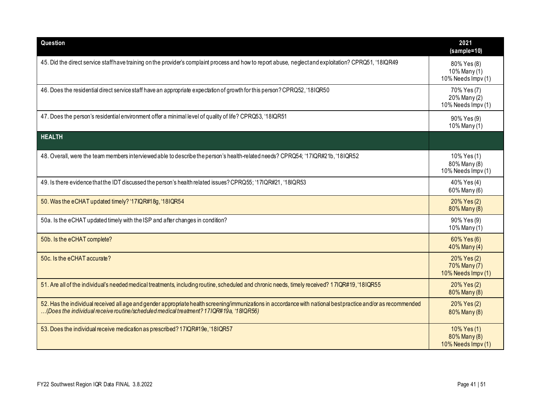| Question                                                                                                                                                                                                                                                | 2021<br>(sample=10)                               |
|---------------------------------------------------------------------------------------------------------------------------------------------------------------------------------------------------------------------------------------------------------|---------------------------------------------------|
| 45. Did the direct service staffhave training on the provider's complaint process and how to report abuse, neglect and exploitation? CPRQ51, '18IQR49                                                                                                   | 80% Yes (8)<br>10% Many (1)<br>10% Needs Impv (1) |
| 46. Does the residential direct service staff have an appropriate expectation of growth for this person? CPRQ52, '18IQR50                                                                                                                               | 70% Yes (7)<br>20% Many (2)<br>10% Needs Impv (1) |
| 47. Does the person's residential environment offer a minimal level of quality of life? CPRQ53, '18IQR51                                                                                                                                                | 90% Yes (9)<br>10% Many (1)                       |
| <b>HEALTH</b>                                                                                                                                                                                                                                           |                                                   |
| 48. Overall, were the team members interviewed able to describe the person's health-related needs? CPRQ54; '17IQR#21b, '18IQR52                                                                                                                         | 10% Yes (1)<br>80% Many (8)<br>10% Needs Impv (1) |
| 49. Is there evidence that the IDT discussed the person's health related issues? CPRQ55; '17IQR#21, '18IQR53                                                                                                                                            | 40% Yes (4)<br>60% Many (6)                       |
| 50. Was the eCHAT updated timely? '17IQR#18g, '18IQR54                                                                                                                                                                                                  | 20% Yes (2)<br>80% Many (8)                       |
| 50a. Is the eCHAT updated timely with the ISP and after changes in condition?                                                                                                                                                                           | 90% Yes (9)<br>10% Many (1)                       |
| 50b. Is the eCHAT complete?                                                                                                                                                                                                                             | 60% Yes (6)<br>40% Many (4)                       |
| 50c. Is the eCHAT accurate?                                                                                                                                                                                                                             | 20% Yes (2)<br>70% Many (7)<br>10% Needs Impv (1) |
| 51. Are all of the individual's needed medical treatments, including routine, scheduled and chronic needs, timely received? 17IQR#19, '18IQR55                                                                                                          | 20% Yes (2)<br>80% Many (8)                       |
| 52. Has the individual received all age and gender appropriate health screening/immunizations in accordance with national best practice and/or as recommended<br>(Does the individual receive routine/scheduled medical treatment? 171QR#19a, '18IQR56) | 20% Yes (2)<br>80% Many (8)                       |
| 53. Does the individual receive medication as prescribed? 17IQR#19e, '18IQR57                                                                                                                                                                           | 10% Yes (1)<br>80% Many (8)<br>10% Needs Impv (1) |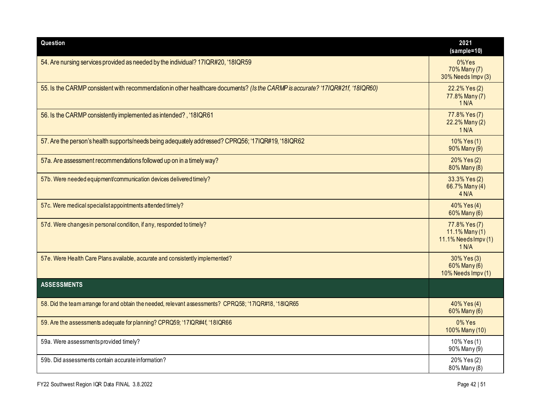| Question                                                                                                                        | 2021<br>$(sample=10)$                                                 |
|---------------------------------------------------------------------------------------------------------------------------------|-----------------------------------------------------------------------|
| 54. Are nursing services provided as needed by the individual? 17IQR#20, '18IQR59                                               | $0\%$ Yes<br>70% Many (7)<br>30% Needs Impv (3)                       |
| 55. Is the CARMP consistent with recommendation in other healthcare documents? (Is the CARMP is accurate? '17IQR#21f, '18IQR60) | 22.2% Yes (2)<br>77.8% Many (7)<br>1 N/A                              |
| 56. Is the CARMP consistently implemented as intended?, '18IQR61                                                                | 77.8% Yes (7)<br>22.2% Many (2)<br>1 N/A                              |
| 57. Are the person's health supports/needs being adequately addressed? CPRQ56; '17IQR#19, '18IQR62                              | 10% Yes (1)<br>90% Many (9)                                           |
| 57a. Are assessment recommendations followed up on in a timely way?                                                             | 20% Yes (2)<br>80% Many (8)                                           |
| 57b. Were needed equipment/communication devices delivered timely?                                                              | 33.3% Yes (2)<br>66.7% Many (4)<br>4 N/A                              |
| 57c. Were medical specialist appointments attended timely?                                                                      | 40% Yes (4)<br>60% Many (6)                                           |
| 57d. Were changes in personal condition, if any, responded to timely?                                                           | 77.8% Yes (7)<br>$11.1\%$ Many $(1)$<br>11.1% Needs Impv (1)<br>1 N/A |
| 57e. Were Health Care Plans available, accurate and consistently implemented?                                                   | 30% Yes (3)<br>60% Many (6)<br>10% Needs Impv (1)                     |
| <b>ASSESSMENTS</b>                                                                                                              |                                                                       |
| 58. Did the team arrange for and obtain the needed, relevant assessments? CPRQ58; '17IQR#18, '18IQR65                           | 40% Yes (4)<br>60% Many (6)                                           |
| 59. Are the assessments adequate for planning? CPRQ59; '17IQR#4f, '18IQR66                                                      | 0% Yes<br>100% Many (10)                                              |
| 59a. Were assessments provided timely?                                                                                          | 10% Yes (1)<br>90% Many (9)                                           |
| 59b. Did assessments contain accurate information?                                                                              | 20% Yes (2)<br>80% Many (8)                                           |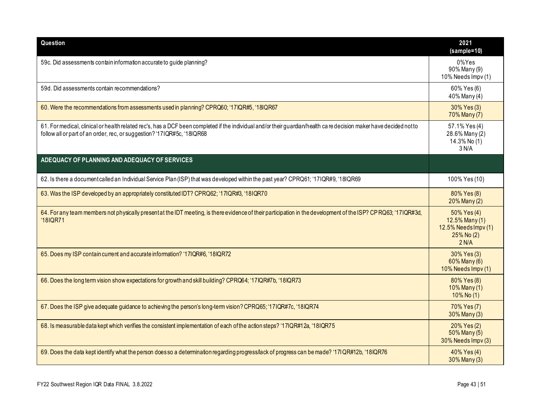| Question                                                                                                                                                                                                                                      | 2021<br>$(sample=10)$                                                        |
|-----------------------------------------------------------------------------------------------------------------------------------------------------------------------------------------------------------------------------------------------|------------------------------------------------------------------------------|
| 59c. Did assessments contain information accurate to guide planning?                                                                                                                                                                          | 0%Yes<br>90% Many (9)<br>10% Needs Impv (1)                                  |
| 59d. Did assessments contain recommendations?                                                                                                                                                                                                 | 60% Yes (6)<br>40% Many (4)                                                  |
| 60. Were the recommendations from assessments used in planning? CPRQ60; '17IQR#5, '18IQR67                                                                                                                                                    | 30% Yes (3)<br>70% Many (7)                                                  |
| 61. For medical, clinical or health related rec's, has a DCF been completed if the individual and/or their guardian/health care decision maker have decided not to<br>follow all or part of an order, rec, or suggestion? '17IQR#5c, '18IQR68 | 57.1% Yes (4)<br>28.6% Many (2)<br>14.3% No (1)<br>3 N/A                     |
| ADEQUACY OF PLANNING AND ADEQUACY OF SERVICES                                                                                                                                                                                                 |                                                                              |
| 62. Is there a document called an Individual Service Plan (ISP) that was developed within the past year? CPRQ61; '17IQR#9, '18IQR69                                                                                                           | 100% Yes (10)                                                                |
| 63. Was the ISP developed by an appropriately constituted IDT? CPRQ62; '17IQR#3, '18IQR70                                                                                                                                                     | 80% Yes (8)<br>20% Many (2)                                                  |
| 64. For any team members not physically present at the IDT meeting, is there evidence of their participation in the development of the ISP? CP RQ63; '17IQR#3d,<br>'18IQR71                                                                   | 50% Yes (4)<br>12.5% Many (1)<br>12.5% Needs Impv (1)<br>25% No (2)<br>2 N/A |
| 65. Does my ISP contain current and accurate information? '17IQR#6, '18IQR72                                                                                                                                                                  | 30% Yes (3)<br>60% Many (6)<br>10% Needs Impv (1)                            |
| 66. Does the long term vision show expectations for growth and skill building? CPRQ64; '17IQR#7b, '18IQR73                                                                                                                                    | 80% Yes (8)<br>10% Many (1)<br>10% No (1)                                    |
| 67. Does the ISP give adequate guidance to achieving the person's long-term vision? CPRQ65; '17IQR#7c, '18IQR74                                                                                                                               | 70% Yes (7)<br>30% Many (3)                                                  |
| 68. Is measurable data kept which verifies the consistent implementation of each of the action steps? '17IQR#12a, '18IQR75                                                                                                                    | 20% Yes (2)<br>50% Many (5)<br>30% Needs Impv (3)                            |
| 69. Does the data kept identify what the person doesso a determination regarding progress/lack of progress can be made? '17IQR#12b, '18IQR76                                                                                                  | 40% Yes (4)<br>30% Many (3)                                                  |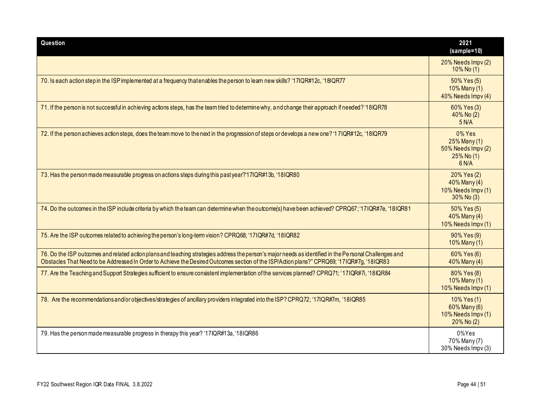| Question                                                                                                                                                                                                                                                                                             | 2021<br>$(sample=10)$                                                  |
|------------------------------------------------------------------------------------------------------------------------------------------------------------------------------------------------------------------------------------------------------------------------------------------------------|------------------------------------------------------------------------|
|                                                                                                                                                                                                                                                                                                      | 20% Needs Impv (2)<br>$10\%$ No (1)                                    |
| 70. Is each action step in the ISP implemented at a frequency that enables the person to learn new skills? '17IQR#12c, '18IQR77                                                                                                                                                                      | 50% Yes (5)<br>$10\%$ Many (1)<br>40% Needs Impv (4)                   |
| 71. If the person is not successful in achieving actions steps, has the team tried to determine why, and change their approach if needed? '18IQR78                                                                                                                                                   | 60% Yes (3)<br>40% No (2)<br>5 N/A                                     |
| 72. If the person achieves action steps, does the team move to the next in the progression of steps or develops a new one? '17IQR#12c, '18IQR79                                                                                                                                                      | 0% Yes<br>25% Many (1)<br>50% Needs Impv (2)<br>$25\%$ No (1)<br>6 N/A |
| 73. Has the person made measurable progress on actions steps during this past year?'17IQR#13b, '18IQR80                                                                                                                                                                                              | 20% Yes (2)<br>40% Many (4)<br>10% Needs Impv (1)<br>30% No (3)        |
| 74. Do the outcomes in the ISP include criteria by which the team can determine when the outcome(s) have been achieved? CPRQ67; '17IQR#7e, '18IQR81                                                                                                                                                  | 50% Yes (5)<br>40% Many (4)<br>$10\%$ Needs Impv $(1)$                 |
| 75. Are the ISP outcomes related to achieving the person's long-term vision? CPRQ68; '17IQR#7d, '18IQR82                                                                                                                                                                                             | 90% Yes (9)<br>10% Many (1)                                            |
| 76. Do the ISP outcomes and related action plans and teaching strategies address the person's major needs as identified in the Personal Challenges and<br>Obstacles That Need to be Addressed In Order to Achieve the Desired Outcomes section of the ISP/Action plans?" CPRQ69; '17IQR#7g, '18IQR83 | 60% Yes (6)<br>40% Many (4)                                            |
| 77. Are the Teaching and Support Strategies sufficient to ensure consistent implementation of the services planned? CPRQ71; '17IQR#7i, '18IQR84                                                                                                                                                      | 80% Yes (8)<br>10% Many (1)<br>10% Needs Impv (1)                      |
| 78. Are the recommendations and/or objectives/strategies of ancillary providers integrated into the ISP? CPRQ72; '17IQR#7m, '18IQR85                                                                                                                                                                 | 10% Yes (1)<br>60% Many (6)<br>10% Needs Impv (1)<br>$20\%$ No $(2)$   |
| 79. Has the person made measurable progress in therapy this year? '17IQR#13a, '18IQR86'                                                                                                                                                                                                              | 0%Yes<br>70% Many (7)<br>30% Needs Impv (3)                            |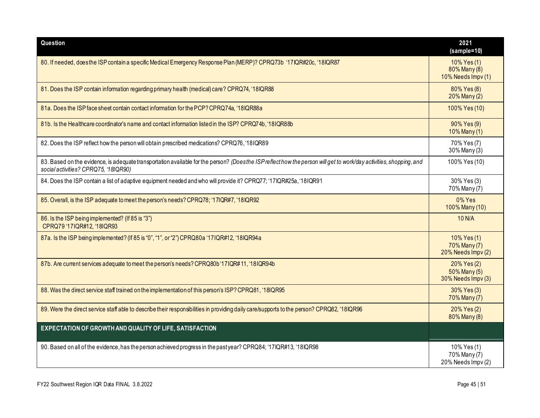| Question                                                                                                                                                                                                    | 2021<br>(sample=10)                                  |
|-------------------------------------------------------------------------------------------------------------------------------------------------------------------------------------------------------------|------------------------------------------------------|
| 80. If needed, does the ISP contain a specific Medical Emergency Response Plan (MERP)? CPRQ73b '17IQR#20c, '18IQR87                                                                                         | $10\%$ Yes (1)<br>80% Many (8)<br>10% Needs Impv (1) |
| 81. Does the ISP contain information regarding primary health (medical) care? CPRQ74, '18IQR88                                                                                                              | 80% Yes (8)<br>20% Many (2)                          |
| 81a. Does the ISP face sheet contain contact information for the PCP? CPRQ74a, '18IQR88a                                                                                                                    | 100% Yes (10)                                        |
| 81b. Is the Healthcare coordinator's name and contact information listed in the ISP? CPRQ74b, '18IQR88b                                                                                                     | 90% Yes (9)<br>10% Many (1)                          |
| 82. Does the ISP reflect how the person will obtain prescribed medications? CPRQ76, '18IQR89                                                                                                                | 70% Yes (7)<br>30% Many (3)                          |
| 83. Based on the evidence, is adequate transportation available for the person? (Does the ISP reflect how the person will get to work/day activities, shopping, and<br>social activities? CPRQ75, '18IQR90) | 100% Yes (10)                                        |
| 84. Does the ISP contain a list of adaptive equipment needed and who will provide it? CPRQ77; '17IQR#25a, '18IQR91                                                                                          | 30% Yes (3)<br>70% Many (7)                          |
| 85. Overall, is the ISP adequate to meet the person's needs? CPRQ78; '17IQR#7, '18IQR92                                                                                                                     | 0% Yes<br>100% Many (10)                             |
| 86. Is the ISP being implemented? (If 85 is "3")<br>CPRQ79 '17IQR#12, '18IQR93                                                                                                                              | 10 N/A                                               |
| 87a. Is the ISP being implemented? (If 85 is "0", "1", or "2") CPRQ80a '17IQR#12, '18IQR94a                                                                                                                 | 10% Yes (1)<br>70% Many (7)<br>20% Needs Impv (2)    |
| 87b. Are current services adequate to meet the person's needs? CPRQ80b'17IQR#11, '18IQR94b                                                                                                                  | 20% Yes (2)<br>50% Many (5)<br>30% Needs Impv (3)    |
| 88. Was the direct service staff trained on the implementation of this person's ISP? CPRQ81, '18IQR95                                                                                                       | 30% Yes (3)<br>70% Many (7)                          |
| 89. Were the direct service staff able to describe their responsibilities in providing daily care/supports to the person? CPRQ82, '18IQR96                                                                  | 20% Yes (2)<br>80% Many (8)                          |
| EXPECTATION OF GROWTH AND QUALITY OF LIFE, SATISFACTION                                                                                                                                                     |                                                      |
| 90. Based on all of the evidence, has the person achieved progress in the pastyear? CPRQ84; '17IQR#13, '18IQR98                                                                                             | 10% Yes (1)<br>70% Many (7)<br>20% Needs Impv (2)    |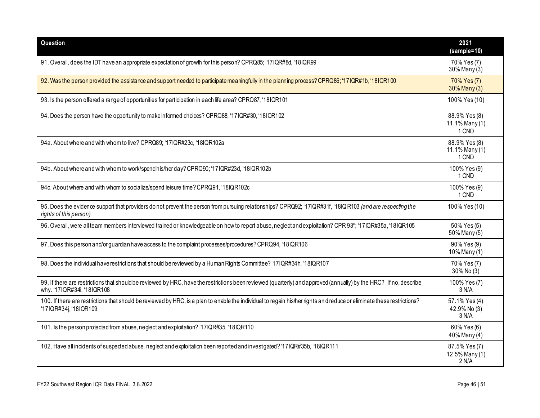| Question                                                                                                                                                                                        | 2021<br>(sample=10)                      |
|-------------------------------------------------------------------------------------------------------------------------------------------------------------------------------------------------|------------------------------------------|
| 91. Overall, does the IDT have an appropriate expectation of growth for this person? CPRQ85; '17IQR#8d, '18IQR99                                                                                | 70% Yes (7)<br>30% Many (3)              |
| 92. Was the person provided the assistance and support needed to participate meaningfully in the planning process? CPRQ86; '17IQR#1b, '18IQR100                                                 | 70% Yes (7)<br>30% Many (3)              |
| 93. Is the person offered a range of opportunities for participation in each life area? CPRQ87, '18IQR101                                                                                       | 100% Yes (10)                            |
| 94. Does the person have the opportunity to make informed choices? CPRQ88; '17IQR#30, '18IQR102                                                                                                 | 88.9% Yes (8)<br>11.1% Many (1)<br>1 CND |
| 94a. About where and with whom to live? CPRQ89; '17IQR#23c, '18IQR102a                                                                                                                          | 88.9% Yes (8)<br>11.1% Many (1)<br>1 CND |
| 94b. About where and with whom to work/spend his/her day? CPRQ90; '17IQR#23d, '18IQR102b                                                                                                        | 100% Yes (9)<br>1 CND                    |
| 94c. About where and with whom to socialize/spend leisure time? CPRQ91, '18IQR102c                                                                                                              | 100% Yes (9)<br>1 CND                    |
| 95. Does the evidence support that providers do not prevent the person from pursuing relationships? CPRQ92; '17IQR#31f, '18IQR103 (and are respecting the<br>rights of this person)             | 100% Yes (10)                            |
| 96. Overall, were all team members interviewed trained or knowledgeable on how to report abuse, neglect and exploitation? CPR 93*; '17IQR#35a, '18IQR105                                        | 50% Yes (5)<br>50% Many (5)              |
| 97. Does this person and/or guardian have access to the complaint processes/procedures? CPRQ94, '18IQR106                                                                                       | 90% Yes (9)<br>10% Many (1)              |
| 98. Does the individual have restrictions that should be reviewed by a Human Rights Committee? '17IQR#34h, '18IQR107                                                                            | 70% Yes (7)<br>30% No (3)                |
| 99. If there are restrictions that should be reviewed by HRC, have the restrictions been reviewed (quarterly) and approved (annually) by the HRC? If no, describe<br>why. '17IQR#34i, '18IQR108 | 100% Yes (7)<br>3 N/A                    |
| 100. If there are restrictions that should be reviewed by HRC, is a plan to enable the individual to regain his/her rights and reduce or eliminate these restrictions?<br>'17IQR#34j, '18IQR109 | 57.1% Yes (4)<br>42.9% No (3)<br>3 N/A   |
| 101. Is the person protected from abuse, neglect and exploitation? '17IQR#35, '18IQR110                                                                                                         | 60% Yes (6)<br>40% Many (4)              |
| 102. Have all incidents of suspected abuse, neglect and exploitation been reported and investigated? '17IQR#35b, '18IQR111                                                                      | 87.5% Yes (7)<br>12.5% Many (1)<br>2 N/A |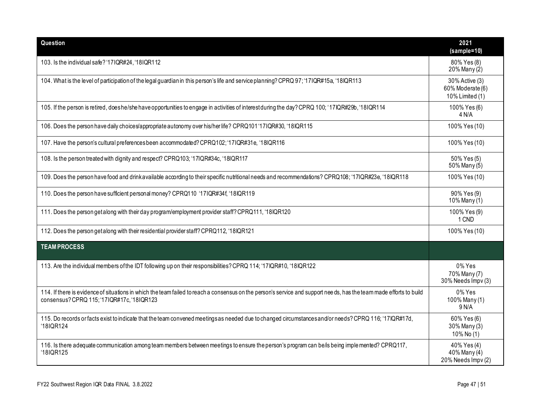| Question                                                                                                                                                                                                          | 2021<br>(sample=10)                                   |
|-------------------------------------------------------------------------------------------------------------------------------------------------------------------------------------------------------------------|-------------------------------------------------------|
| 103. Is the individual safe? '17IQR#24, '18IQR112                                                                                                                                                                 | 80% Yes (8)<br>20% Many (2)                           |
| 104. What is the level of participation of the legal guardian in this person's life and service planning? CPRQ 97; '17IQR#15a, '18IQR113                                                                          | 30% Active (3)<br>60% Moderate (6)<br>10% Limited (1) |
| 105. If the person is retired, does he/she have opportunities to engage in activities of interest during the day? CPRQ 100; '17IQR#29b, '18IQR114                                                                 | 100% Yes (6)<br>4 N/A                                 |
| 106. Does the person have daily choices/appropriate autonomy over his/her life? CPRQ101 '17IQR#30, '18IQR115                                                                                                      | 100% Yes (10)                                         |
| 107. Have the person's cultural preferences been accommodated? CPRQ102; '17IQR#31e, '18IQR116                                                                                                                     | 100% Yes (10)                                         |
| 108. Is the person treated with dignity and respect? CPRQ103; '17IQR#34c, '18IQR117                                                                                                                               | 50% Yes (5)<br>50% Many (5)                           |
| 109. Does the person have food and drinkavailable according to their specific nutritional needs and recommendations? CPRQ108; '17IQR#23e, '18IQR118                                                               | 100% Yes (10)                                         |
| 110. Does the person have sufficient personal money? CPRQ110 '17IQR#34f, '18IQR119                                                                                                                                | 90% Yes (9)<br>10% Many (1)                           |
| 111. Does the person getalong with their day program/employment provider staff? CPRQ111, '18IQR120                                                                                                                | 100% Yes (9)<br>1 CND                                 |
| 112. Does the person getalong with their residential provider staff? CPRQ112, '18IQR121                                                                                                                           | 100% Yes (10)                                         |
| <b>TEAM PROCESS</b>                                                                                                                                                                                               |                                                       |
| 113. Are the individual members of the IDT following up on their responsibilities? CPRQ 114; '17IQR#10, '18IQR122                                                                                                 | 0% Yes<br>70% Many (7)<br>30% Needs Impv (3)          |
| 114. If there is evidence of situations in which the team failed to reach a consensus on the person's service and support needs, has the team made efforts to build<br>consensus? CPRQ 115; '17IQR#17c, '18IQR123 | 0% Yes<br>100% Many (1)<br>9 N/A                      |
| 115. Do records or facts exist to indicate that the team convened meetings as needed due to changed circumstances and/or needs? CPRQ 116; '17IQR#17d,<br>'18IQR124                                                | 60% Yes (6)<br>30% Many (3)<br>10% No (1)             |
| 116. Is there adequate communication among team members between meetings to ensure the person's program can be/is being implemented? CPRQ117,<br>'18IQR125                                                        | 40% Yes (4)<br>40% Many (4)<br>20% Needs Impv (2)     |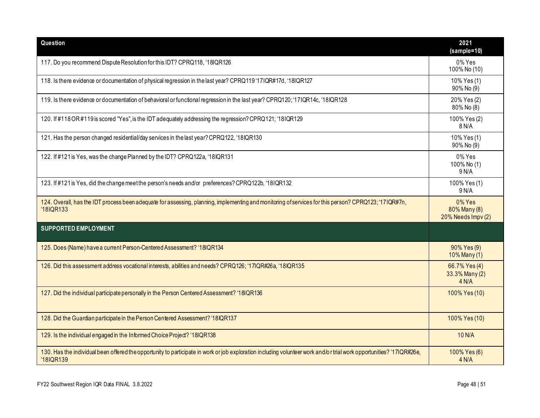| Question                                                                                                                                                                          | 2021<br>(sample=10)                             |
|-----------------------------------------------------------------------------------------------------------------------------------------------------------------------------------|-------------------------------------------------|
| 117. Do you recommend Dispute Resolution for this IDT? CPRQ118, '18IQR126                                                                                                         | 0% Yes<br>100% No (10)                          |
| 118. Is there evidence or documentation of physical regression in the last year? CPRQ119'17IQR#17d, '18IQR127                                                                     | 10% Yes (1)<br>90% No (9)                       |
| 119. Is there evidence or documentation of behavioral or functional regression in the last year? CPRQ120; '17IQR14c, '18IQR128                                                    | 20% Yes (2)<br>80% No (8)                       |
| 120. If #118 OR #119 is scored "Yes", is the IDT adequately addressing the regression? CPRQ121; '18IQR129                                                                         | 100% Yes (2)<br>8 N/A                           |
| 121. Has the person changed residential/day services in the last year? CPRQ122, '18IQR130                                                                                         | 10% Yes (1)<br>90% No (9)                       |
| 122. If #121 is Yes, was the change Planned by the IDT? CPRQ122a, '18IQR131                                                                                                       | 0% Yes<br>100% No (1)<br>9 N/A                  |
| 123. If #121 is Yes, did the change meet the person's needs and/or preferences? CPRQ122b, '18IQR132                                                                               | 100% Yes (1)<br>9 N/A                           |
| 124. Overall, has the IDT process been adequate for assessing, planning, implementing and monitoring of services for this person? CPRQ123; '17IQR#7n,<br>'18IQR133                | $0\%$ Yes<br>80% Many (8)<br>20% Needs Impv (2) |
| <b>SUPPORTED EMPLOYMENT</b>                                                                                                                                                       |                                                 |
| 125. Does (Name) have a current Person-Centered Assessment? '18IQR134                                                                                                             | 90% Yes (9)<br>$10\%$ Many (1)                  |
| 126. Did this assessment address vocational interests, abilities and needs? CPRQ126; '17IQR#26a, '18IQR135                                                                        | 66.7% Yes (4)<br>33.3% Many (2)<br>4 N/A        |
| 127. Did the individual participate personally in the Person Centered Assessment? '18IQR136                                                                                       | 100% Yes (10)                                   |
| 128. Did the Guardian participate in the Person Centered Assessment? '18IQR137                                                                                                    | 100% Yes (10)                                   |
| 129. Is the individual engaged in the Informed Choice Project? '18IQR138                                                                                                          | 10 N/A                                          |
| 130. Has the individual been offered the opportunity to participate in work or job exploration including volunteer work and/or trial work opportunities? '17IQR#26e,<br>'18IQR139 | 100% Yes (6)<br>4 N/A                           |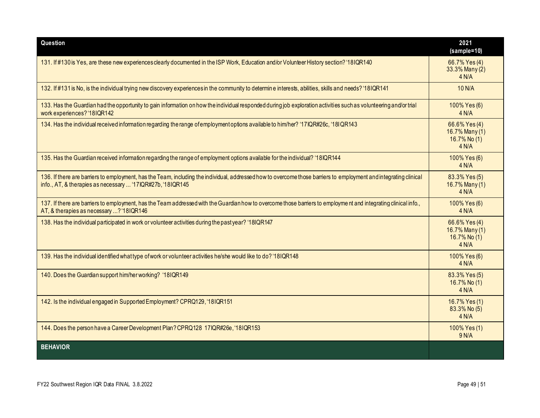| Question                                                                                                                                                                                                                        | 2021<br>(sample=10)                                      |
|---------------------------------------------------------------------------------------------------------------------------------------------------------------------------------------------------------------------------------|----------------------------------------------------------|
| 131. If #130 is Yes, are these new experiences clearly documented in the ISP Work, Education and/or Volunteer History section? '18IQR140                                                                                        | 66.7% Yes (4)<br>33.3% Many (2)<br>4 N/A                 |
| 132. If #131 is No, is the individual trying new discovery experiences in the community to determine interests, abilities, skills and needs? '18IQR141                                                                          | 10 N/A                                                   |
| 133. Has the Guardian had the opportunity to gain information on how the individual responded during job exploration activities such as volunteering and/or trial<br>work experiences? '18IQR142                                | 100% Yes (6)<br>4 N/A                                    |
| 134. Has the individual received information regarding the range of employment options available to him/her? '17IQR#26c, '18IQR143                                                                                              | 66.6% Yes (4)<br>16.7% Many (1)<br>16.7% No (1)<br>4 N/A |
| 135. Has the Guardian received information regarding the range of employment options available for the individual? '18IQR144                                                                                                    | 100% Yes (6)<br>4 N/A                                    |
| 136. If there are barriers to employment, has the Team, including the individual, addressed how to overcome those barriers to employment and integrating clinical<br>info., AT, & therapies as necessary  '17IQR#27b, '18IQR145 | 83.3% Yes (5)<br>16.7% Many (1)<br>4 N/A                 |
| 137. If there are barriers to employment, has the Team addressed with the Guardian how to overcome those barriers to employment and integrating clinical info.,<br>AT, & therapies as necessary ? '18IQR146                     | 100% Yes (6)<br>4 N/A                                    |
| 138. Has the individual participated in work or volunteer activities during the past year? '18IQR147                                                                                                                            | 66.6% Yes (4)<br>16.7% Many (1)<br>16.7% No (1)<br>4 N/A |
| 139. Has the individual identified what type of work or volunteer activities he/she would like to do? '18IQR148                                                                                                                 | 100% Yes (6)<br>4 N/A                                    |
| 140. Does the Guardian support him/her working? '18IQR149                                                                                                                                                                       | 83.3% Yes (5)<br>16.7% No (1)<br>4 N/A                   |
| 142. Is the individual engaged in Supported Employment? CPRQ129, '18IQR151                                                                                                                                                      | 16.7% Yes (1)<br>83.3% No (5)<br>4 N/A                   |
| 144. Does the person have a Career Development Plan? CPRQ128 17IQR#26e, '18IQR153                                                                                                                                               | 100% Yes (1)<br>9 N/A                                    |
| <b>BEHAVIOR</b>                                                                                                                                                                                                                 |                                                          |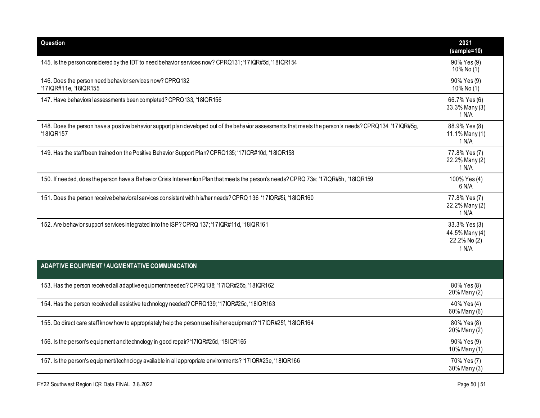| Question                                                                                                                                                            | 2021<br>(sample=10)                                      |
|---------------------------------------------------------------------------------------------------------------------------------------------------------------------|----------------------------------------------------------|
| 145. Is the person considered by the IDT to need behavior services now? CPRQ131; '17IQR#5d, '18IQR154                                                               | 90% Yes (9)<br>10% No $(1)$                              |
| 146. Does the person need behavior services now? CPRQ132<br>'17IQR#11e, '18IQR155                                                                                   | 90% Yes (9)<br>10% No (1)                                |
| 147. Have behavioral assessments been completed? CPRQ133, '18IQR156                                                                                                 | 66.7% Yes (6)<br>33.3% Many (3)<br>1 N/A                 |
| 148. Does the person have a positive behavior support plan developed out of the behavior assessments that meets the person's needs? CPRQ134 '17IQR#5g,<br>'18IQR157 | 88.9% Yes (8)<br>11.1% Many (1)<br>1 N/A                 |
| 149. Has the staffbeen trained on the Positive Behavior Support Plan? CPRQ135; '17IQR#10d, '18IQR158                                                                | 77.8% Yes (7)<br>22.2% Many (2)<br>1 N/A                 |
| 150. If needed, does the person have a Behavior Crisis Intervention Plan that meets the person's needs? CPRQ 73a; '17IQR#5h, '18IQR159                              | 100% Yes (4)<br>6 N/A                                    |
| 151. Does the person receive behavioral services consistent with his/her needs? CPRQ 136 '17IQR#5i, '18IQR160                                                       | 77.8% Yes (7)<br>22.2% Many (2)<br>1 N/A                 |
| 152. Are behavior support services integrated into the ISP? CPRQ 137; '17IQR#11d, '18IQR161                                                                         | 33.3% Yes (3)<br>44.5% Many (4)<br>22.2% No (2)<br>1 N/A |
| <b>ADAPTIVE EQUIPMENT / AUGMENTATIVE COMMUNICATION</b>                                                                                                              |                                                          |
| 153. Has the person received all adaptive equipment needed? CPRQ138; '17IQR#25b, '18IQR162                                                                          | 80% Yes (8)<br>$20\%$ Many $(2)$                         |
| 154. Has the person received all assistive technology needed? CPRQ139; '17IQR#25c, '18IQR163                                                                        | 40% Yes (4)<br>60% Many (6)                              |
| 155. Do direct care staff know how to appropriately help the person use his/her equipment? '17IQR#25f, '18IQR164                                                    | 80% Yes (8)<br>20% Many (2)                              |
| 156. Is the person's equipment and technology in good repair?'17IQR#25d, '18IQR165                                                                                  | 90% Yes (9)<br>10% Many (1)                              |
| 157. Is the person's equipment/technology available in all appropriate environments? '17IQR#25e, '18IQR166                                                          | 70% Yes (7)<br>30% Many (3)                              |